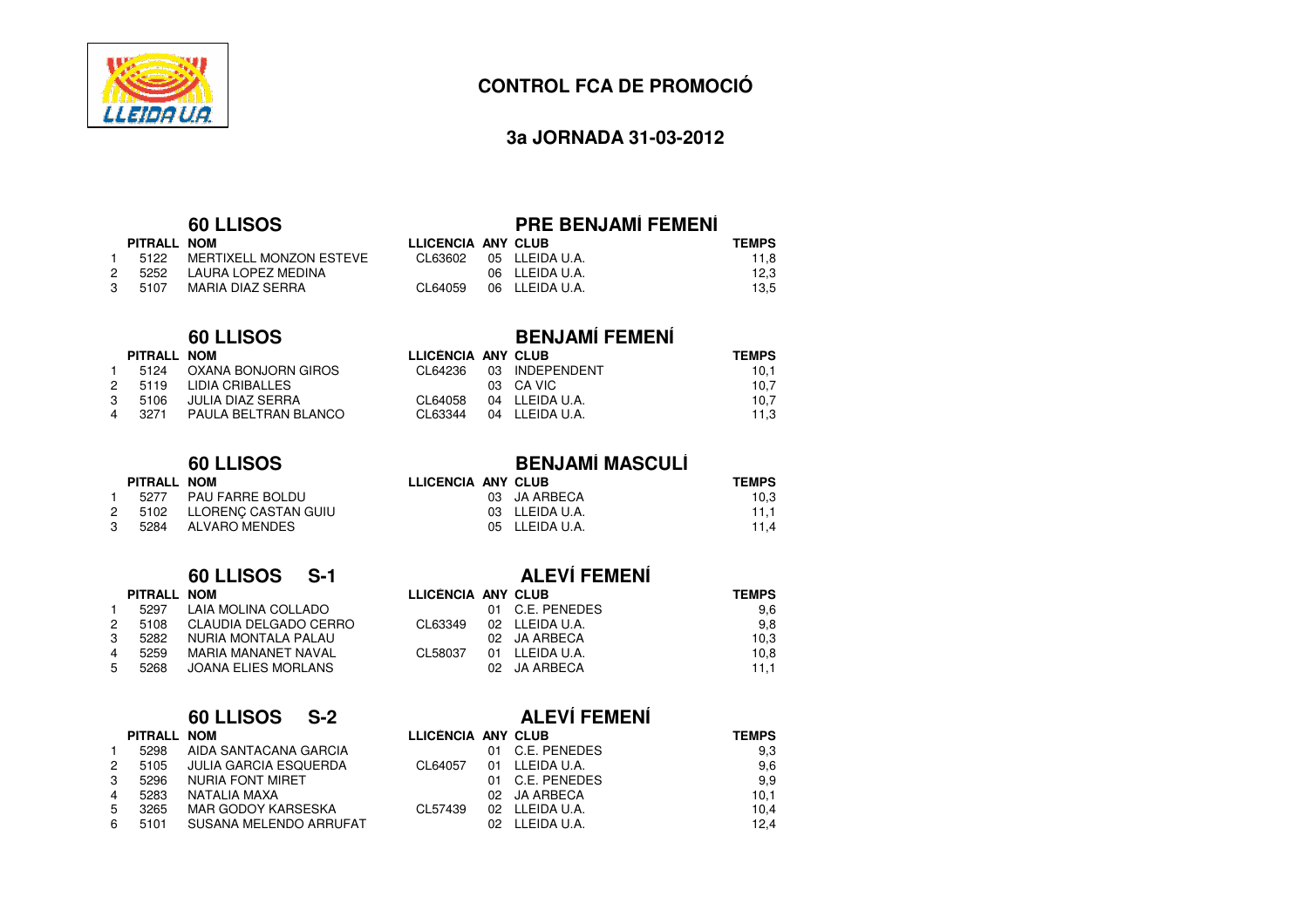

# **3a JORNADA 31-03-2012**

# **60 LLISOS**

|               | PITRALL NOM |                                |
|---------------|-------------|--------------------------------|
|               |             | 1 5122 MERTIXELL MONZON ESTEVE |
|               |             | 2 5252 LAURA LOPEZ MEDINA      |
| $\mathcal{S}$ | 5107        | MARIA DIAZ SERRA               |

## **60 LLISOS**

|              | PITRALL NOM |                          |
|--------------|-------------|--------------------------|
| $\mathbf{1}$ |             | 5124 OXANA BONJORN GIROS |
| 2            | 5119        | LIDIA CRIBALLES          |
| 3            | 5106        | <b>JULIA DIAZ SERRA</b>  |
| 4            | 3271        | PAULA BELTRAN BLANCO     |
|              |             |                          |

# **60 LLISOS**

|    | PITRALL NOM |                        |
|----|-------------|------------------------|
| 1. | 5277        | <b>PAU FARRE BOLDU</b> |
| 2  | 5102        | LLORENC CASTAN GUIU    |
| 3  | 5284        | <b>ALVARO MENDES</b>   |

|   | PITRALL NOM |                            |
|---|-------------|----------------------------|
| 1 | 5297        | LAIA MOLINA COLLADO        |
| 2 | 5108        | CLAUDIA DELGADO CERRO      |
| 3 | 5282        | NURIA MONTALA PALAU        |
| 4 | 5259        | MARIA MAÑANET NAVAL        |
| 5 | 5268        | <b>JOANA ELIES MORLANS</b> |
|   |             |                            |

| <b>60 LLISOS</b><br>S-2 |  |
|-------------------------|--|
|-------------------------|--|

|   |   | PITRALL NOM |                        |
|---|---|-------------|------------------------|
| 1 |   | 5298        | AIDA SANTACANA GARCIA  |
|   | 2 | 5105        | JULIA GARCIA ESQUERDA  |
| з |   | 5296        | NURIA FONT MIRET       |
|   | 4 | 5283        | NATAI IA MAXA          |
| 5 |   | 3265        | MAR GODOY KARSESKA     |
|   | 6 | 5101        | SUSANA MELENDO ARRUFAT |
|   |   |             |                        |

# **PRE BENJAMÍ FEMENÍ**

|         |  | <b>TEMPS</b>                                                                     |
|---------|--|----------------------------------------------------------------------------------|
|         |  | 11.8                                                                             |
|         |  | 12.3                                                                             |
| CL64059 |  | 13.5                                                                             |
|         |  | LLICENCIA ANY CLUB<br>CL63602 05 LLEIDA U.A.<br>06 LLEIDA U.A.<br>06 LLEIDA U.A. |

| <b>LLISOS</b>      | <b>BENJAMÍ FEMENÍ</b> |  |                        |              |
|--------------------|-----------------------|--|------------------------|--------------|
| М                  | LLICENCIA ANY CLUB    |  |                        | <b>TEMPS</b> |
| ANA BONJORN GIROS  | CL64236               |  | 03 INDEPENDENT         | 10,1         |
| IA CRIBALLES       |                       |  | 03 CA VIC              | 10,7         |
| IA DIAZ SERRA      |                       |  | CL64058 04 LLEIDA U.A. | 10,7         |
| ULA BELTRAN BLANCO | CL63344               |  | 04 LLEIDA U.A.         | 11.3         |

| <b>BENJAMÍ MASCULÍ</b> |  |
|------------------------|--|
|------------------------|--|

| LLICÈNCIA ANY CLUB | <b>TEMPS</b> |
|--------------------|--------------|
| 03 JA ARBECA       | 10.3         |
| 03 LLEIDA U.A.     | 11.1         |
| 05 LLEIDA U.A.     | 11.4         |
|                    |              |

# **60 LLISOS S-1 ALEVÍ FEMENÍ**

|      |   |                                                                                                                                  |  | <b>TEMPS</b>                                                                                              |
|------|---|----------------------------------------------------------------------------------------------------------------------------------|--|-----------------------------------------------------------------------------------------------------------|
| 5297 |   |                                                                                                                                  |  | 9.6                                                                                                       |
| 5108 |   | CL63349                                                                                                                          |  | 9.8                                                                                                       |
| 5282 |   |                                                                                                                                  |  | 10,3                                                                                                      |
| 5259 |   | CL58037                                                                                                                          |  | 10.8                                                                                                      |
| 5268 |   |                                                                                                                                  |  | 11.1                                                                                                      |
| 5    | 2 | PITRALL NOM<br>LAIA MOLINA COLLADO<br>CLAUDIA DELGADO CERRO<br>NURIA MONTALA PALAU<br>MARIA MAÑANET NAVAL<br>JOANA ELIES MORLANS |  | LLICÈNCIA ANY CLUB<br>01 C.E. PENEDES<br>02 LLEIDA U.A.<br>02 JA ARBECA<br>01 LLEIDA U.A.<br>02 JA ARBECA |

| 60 LLISOS S-2          |                    |                 | <b>ALEVÍ FEMENÍ</b> |              |
|------------------------|--------------------|-----------------|---------------------|--------------|
| <b>NOM</b>             | LLICÈNCIA ANY CLUB |                 |                     | <b>TEMPS</b> |
| AIDA SANTACANA GARCIA  |                    | 01 C.E. PENEDES |                     | 9,3          |
| JULIA GARCIA ESQUERDA  | CL64057            | 01 LLEIDA U.A.  |                     | 9.6          |
| NURIA FONT MIRET       |                    | 01 C.E. PENEDES |                     | 9.9          |
| NATALIA MAXA           |                    | 02 JA ARBECA    |                     | 10.1         |
| MAR GODOY KARSESKA     | CL57439            | 02 LLEIDA U.A.  |                     | 10,4         |
| SUSANA MELENDO ARRUFAT |                    | 02              | LLEIDA U.A.         | 12.4         |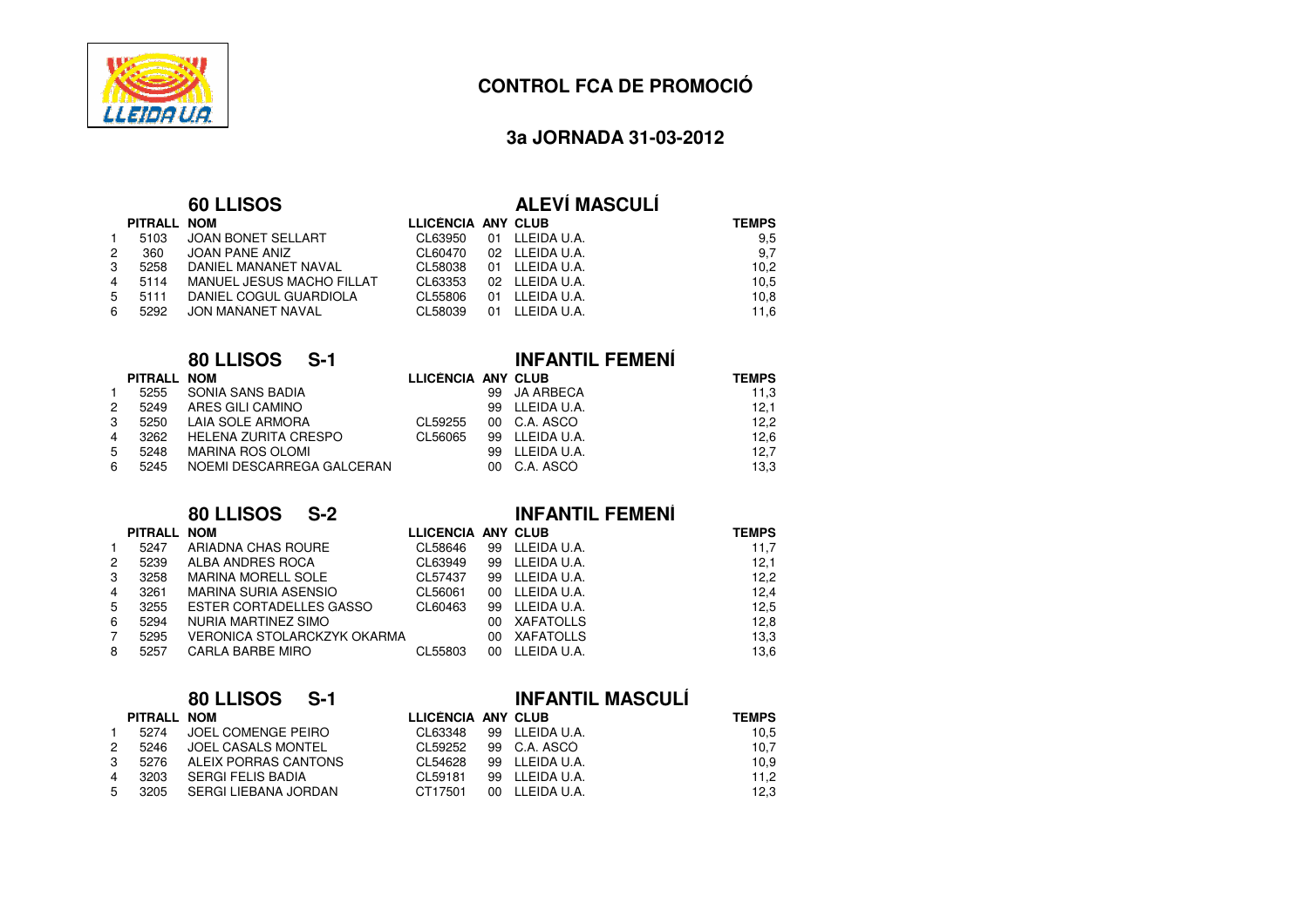

1

2

3

4

5

6

## **CONTROL FCA DE PROMOCIÓ**

### **3a JORNADA 31-03-2012**

### **60 LLISOS**

### **ALEVÍ MASCULÍ**

**INFANTIL FEMENÍ**

**INFANTIL FEMENÍ**

|     | PITRALL NOM |                           | LLICENCIA ANY CLUB |                | <b>TEMPS</b> |
|-----|-------------|---------------------------|--------------------|----------------|--------------|
| 1.  | 5103        | JOAN BONET SELLART        | CL63950            | 01 LLEIDA U.A. | 9,5          |
| 2   | 360         | JOAN PANE ANIZ            | CL60470            | 02 LLEIDA U.A. | 9,7          |
| 3   | 5258        | DANIEL MAÑANET NAVAL      | CL58038            | 01 LLEIDA U.A. | 10,2         |
| 4   | 5114        | MANUEL JESUS MACHO FILLAT | CL63353            | 02 LLEIDA U.A. | 10,5         |
| 5   | 5111        | DANIEL COGUL GUARDIOLA    | CL55806            | 01 LLEIDA U.A. | 10,8         |
| 6 - | 5292        | JON MAÑANET NAVAL         | CL58039            | 01 LLEIDA U.A. | 11,6         |
|     |             |                           |                    |                |              |

# **80 LLISOS S-1**

|                | PITRALL NOM |                           | LLICÈNCIA ANY CLUB |                | <b>TEMPS</b> |
|----------------|-------------|---------------------------|--------------------|----------------|--------------|
|                | 5255        | SONIA SANS BADIA          |                    | 99 JA ARBECA   | 11,3         |
| 2              | 5249        | ARES GILI CAMINO          |                    | 99 LLEIDA U.A. | 12,1         |
| 3              | 5250        | LAIA SOLE ARMORA          | CL59255            | 00 C.A. ASCO   | 12,2         |
| $\overline{4}$ | 3262        | HELENA ZURITA CRESPO      | CL56065            | 99 LLEIDA U.A. | 12.6         |
| -5             | 5248        | MARINA ROS OLOMI          |                    | 99 LLEIDA U.A. | 12.7         |
| 6              | 5245        | NOEMI DESCARREGA GALCERAN |                    | 00 C.A. ASCO   | 13,3         |
|                |             |                           |                    |                |              |

### **80 LLISOS S-2**

### **PITRALL NOMLLICÈNCIA ANY CLUB TEMPS**<br>CL58646 99 LLEIDA U.A. 11.7 15247 ARIADNA CHAS ROURE<br>5239 ALBA ANDRES ROCA CL58646 99 LLEIDA U.A. 11,7<br>CL63949 99 LLEIDA U.A. 12,1 25239 ALBA ANDRES ROCA<br>3258 MARINA MORELL SOL CL63949 99 LLEIDA U.A. 12,1 12,1 12,1 12,2 33258 MARINA MORELL SOLE<br>3261 MARINA SURIA ASENSIO CL57437 99 LLEIDA U.A. 12,2<br>CL56061 00 LLEIDA U.A. 12,4 43261 MARINA SURIA ASENSIO<br>3255 ESTER CORTADELLES G CL56061 00 LLEIDA U.A. 12,4<br>CL60463 99 LLEIDA U.A. 12,5 53255 ESTER CORTADELLES GASSO<br>5294 NURIA MARTINEZ SIMO CL60463 <sup>99</sup> LLEIDA U.A. 12,5 6 <sup>5294</sup> NURIA MARTINEZ SIMO00 XAFATOLLS 12,8<br>00 XAFATOLLS 13.3 75295 VERONICA STOLARCKZYK OKARMA<br>5257 CARLA BARBE MIRO A 00 XAFATOLLS 13,3 8CARLA BARBE MIRO O CL55803 00 LLEIDAU.A. 13,6

### **80 LLISOS S-1**

# **INFANTIL MASCULÍ**

|              | PITRALL NOM |                             | LLICÈNCIA ANY CLUB |                        | <b>TEMPS</b> |
|--------------|-------------|-----------------------------|--------------------|------------------------|--------------|
| $\mathbf{1}$ | 5274        | JOEL COMENGE PEIRO          |                    | CL63348 99 LLEIDA U.A. | 10,5         |
| 2            | 5246        | JOEL CASALS MONTEL          |                    | CL59252 99 C.A. ASCO   | 10.7         |
|              |             | 3 5276 ALEIX PORRAS CANTONS |                    | CL54628 99 LLEIDA U.A. | 10.9         |
| 4            | 3203        | SERGI FELIS BADIA           | CI 59181           | 99 LLEIDA U.A.         | 11.2         |
| 5            | 3205        | SERGI LIEBANA JORDAN        | CT17501            | 00 LLEIDA U.A.         | 12,3         |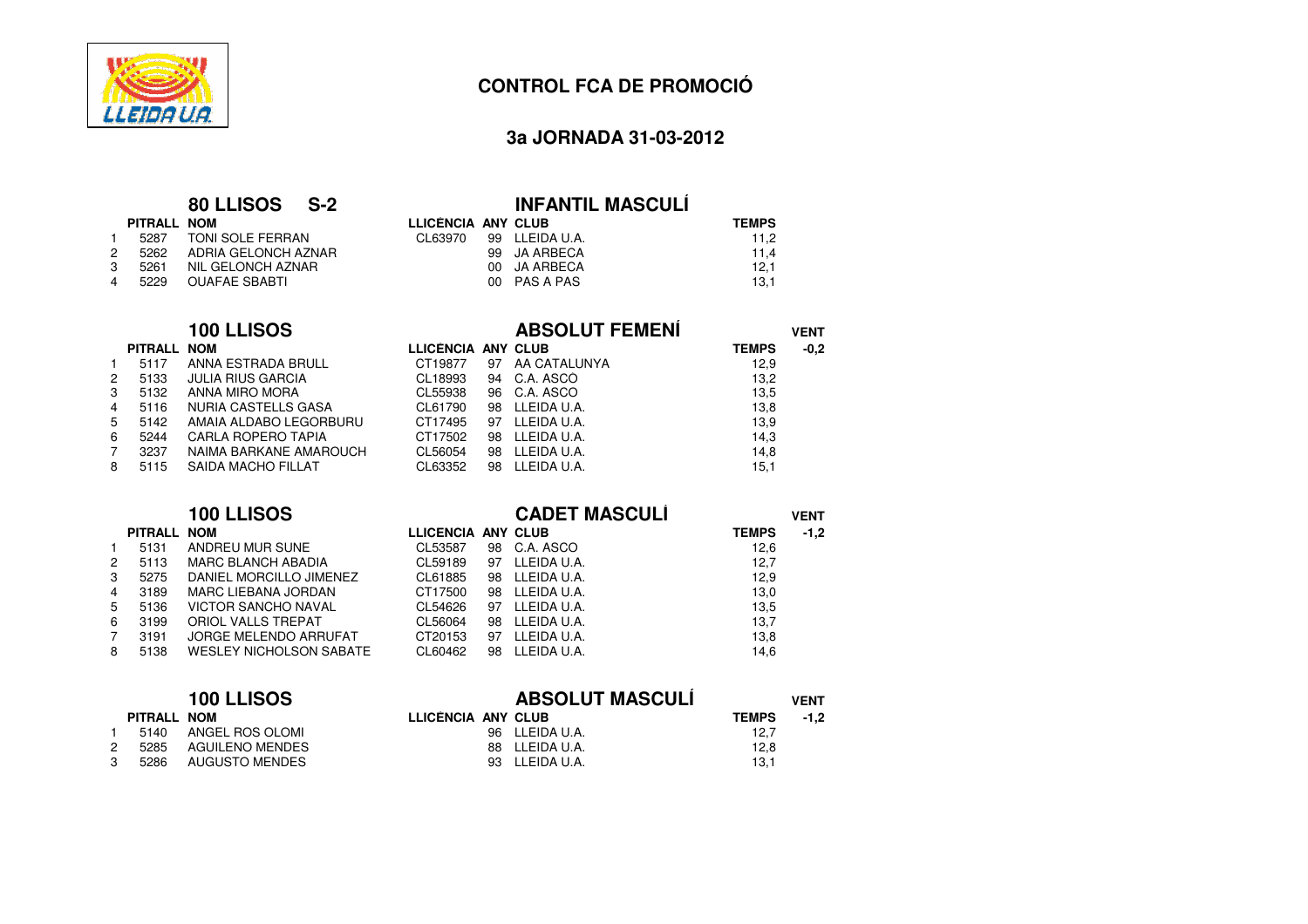

2

3

4

6

1

4

6

7

5 5136

1 5140

7

# **CONTROL FCA DE PROMOCIÓ**

## **3a JORNADA 31-03-2012**

### **80 LLISOS S-2**

| PITRALL NOM |                            | LLICENCIA ANY CLUB |                       |
|-------------|----------------------------|--------------------|-----------------------|
|             | 1 5287 TONI SOLE FERRAN    |                    | CL63970 99 LLEIDA U.A |
|             | 2 5262 ADRIA GELONCH AZNAR |                    | 99 JA ARBECA          |
|             | 3 5261 NIL GELONCH AZNAR   |                    | 00 JA ARBECA          |
|             | 4 5229 OUAFAE SBABTI       |                    | 00 PAS A PAS          |
|             |                            |                    |                       |

### **100 LLISOS**

# **INFANTIL MASCULÍ**<br>LLICÈNCIA ANY CLUB

| м                 | LLICÈNCIA ANY CLUB |                | <b>TEMPS</b> |
|-------------------|--------------------|----------------|--------------|
| NI SOLE FERRAN    | CL63970            | 99 LLEIDA U.A. | 11.2         |
| RIA GELONCH AZNAR |                    | 99 JA ARBECA   | 11.4         |
| GELONCH AZNAR     |                    | 00 JA ARBECA   | 12.1         |
| AFAE SBABTI       |                    | 00 PAS A PAS   | 13.1         |
|                   |                    |                |              |

|   |             | 100 LLISOS             |                    |    | <b>ABSOLUT FEMENÍ</b> |              | <b>VENT</b> |
|---|-------------|------------------------|--------------------|----|-----------------------|--------------|-------------|
|   | PITRALL NOM |                        | LLICENCIA ANY CLUB |    |                       | <b>TEMPS</b> | $-0,2$      |
|   | 5117        | ANNA ESTRADA BRULL     | CT19877            | 97 | AA CATALUNYA          | 12,9         |             |
| 2 | 5133        | JULIA RIUS GARCIA      | CL18993            |    | 94 C.A. ASCO          | 13,2         |             |
| 3 | 5132        | ANNA MIRO MORA         | CL55938            |    | 96 C.A. ASCO          | 13,5         |             |
| 4 | 5116        | NURIA CASTELLS GASA    | CL61790            |    | 98 LLEIDA U.A.        | 13,8         |             |
| 5 | 5142        | AMAIA ALDABO LEGORBURU | CT17495            | 97 | LLEIDA U.A.           | 13,9         |             |
| 6 | 5244        | CARLA ROPERO TAPIA     | CT17502            | 98 | LLEIDA U.A.           | 14,3         |             |
|   | 3237        | NAIMA BARKANE AMAROUCH | CL56054            |    | 98 LLEIDA U.A.        | 14,8         |             |
| 8 | 5115        | SAIDA MACHO FILLAT     | CL63352            | 98 | LLEIDA U.A.           | 15,1         |             |

|    |             | 100 LLISOS                     |                    |    | <b>CADET MASCULÍ</b> |              | <b>VENT</b> |  |
|----|-------------|--------------------------------|--------------------|----|----------------------|--------------|-------------|--|
|    | PITRALL NOM |                                | LLICENCIA ANY CLUB |    |                      | <b>TEMPS</b> | $-1,2$      |  |
|    | 5131        | ANDREU MUR SUÑE                | CL53587            |    | 98 C.A. ASCO         | 12,6         |             |  |
| 2  | 5113        | <b>MARC BLANCH ABADIA</b>      | CL59189            | 97 | LLEIDA U.A.          | 12,7         |             |  |
| 3  | 5275        | DANIEL MORCILLO JIMENEZ        | CL61885            |    | 98 LLEIDA U.A.       | 12,9         |             |  |
| 4  | 3189        | MARC LIEBANA JORDAN            | CT17500            | 98 | LLEIDA U.A.          | 13,0         |             |  |
| 5. | 5136        | <b>VICTOR SANCHO NAVAL</b>     | CL54626            | 97 | LLEIDA U.A.          | 13,5         |             |  |
| 6. | 3199        | ORIOL VALLS TREPAT             | CL56064            | 98 | LLEIDA U.A.          | 13,7         |             |  |
|    | 3191        | <b>JORGE MELENDO ARRUFAT</b>   | CT20153            | 97 | LLEIDA U.A.          | 13,8         |             |  |
| 8  | 5138        | <b>WESLEY NICHOLSON SABATE</b> | CL60462            | 98 | LLEIDA U.A.          | 14,6         |             |  |

|        | 100 LLISOS         |                 | <b>ABSOLUT MASCULI</b> | <b>VENT</b>    |              |        |
|--------|--------------------|-----------------|------------------------|----------------|--------------|--------|
|        | <b>PITRALL NOM</b> |                 | LLICÈNCIA ANY CLUB     |                | <b>TEMPS</b> | $-1.2$ |
|        | 5140               | ANGEL ROS OLOMI |                        | 96 LLEIDA U.A. | 12,7         |        |
| $^{2}$ | 5285               | AGUILENO MENDES |                        | 88 LLEIDA U.A. | 12,8         |        |
|        | 5286               | AUGUSTO MENDES  |                        | 93 LLEIDA U.A. | 13.1         |        |
|        |                    |                 |                        |                |              |        |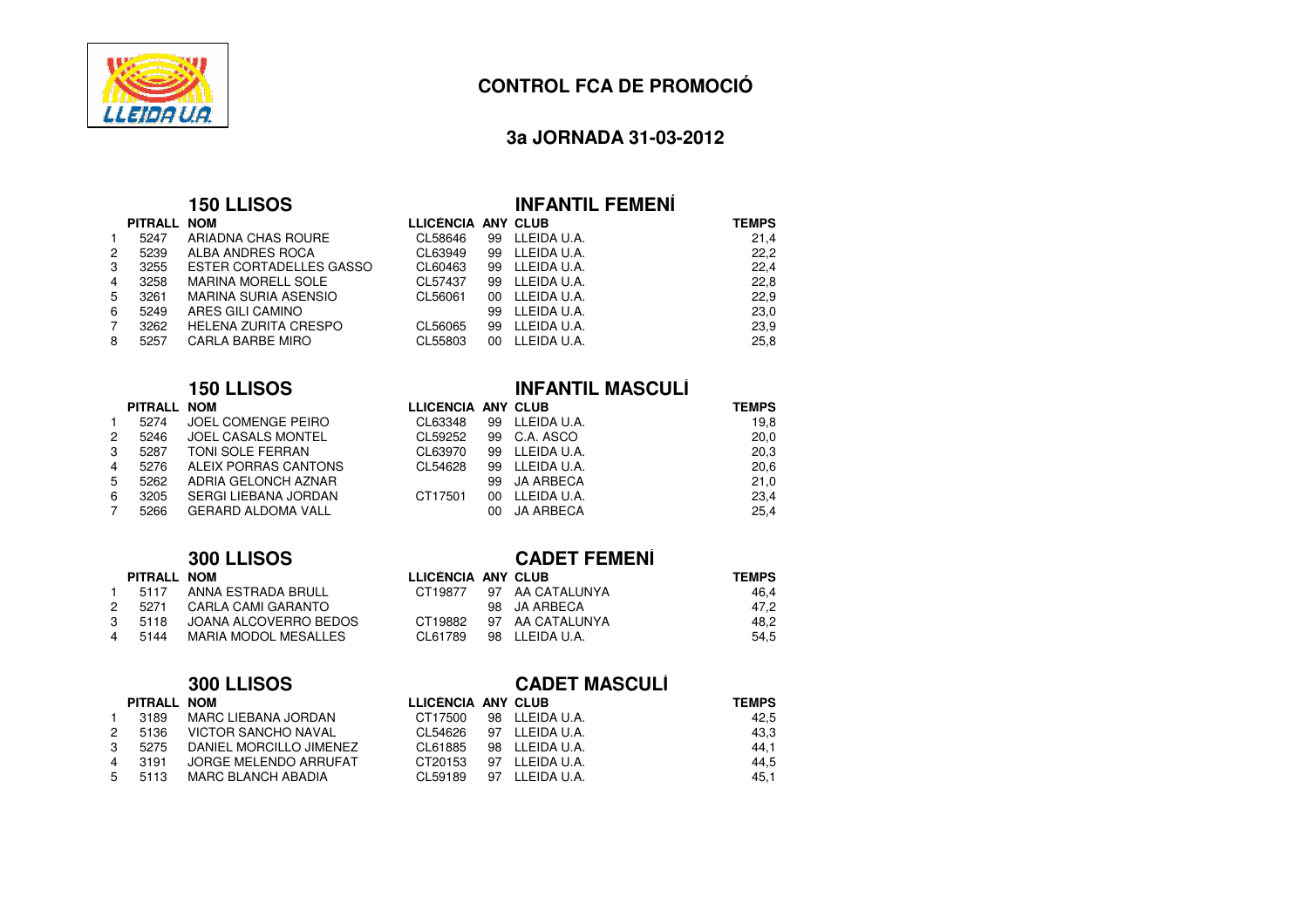

## **3a JORNADA 31-03-2012**

### **150 LLISOS**

|   | PITRALL NOM |                                |
|---|-------------|--------------------------------|
|   | 5247        | ARIADNA CHAS ROURE             |
| 2 | 5239        | ALBA ANDRES ROCA               |
| 3 | 3255        | <b>ESTER CORTADELLES GASSO</b> |
| 4 | 3258        | <b>MARINA MORELL SOLE</b>      |
| 5 | 3261        | <b>MARINA SURIA ASENSIO</b>    |
| 6 | 5249        | ARES GILI CAMINO               |
| 7 | 3262        | <b>HELENA ZURITA CRESPO</b>    |
| 8 | 5257        | CARLA BARBE MIRO               |
|   |             |                                |

|                      | PITRALL NOM |                         | LLICENCIA ANY CLUB |               |
|----------------------|-------------|-------------------------|--------------------|---------------|
| $\mathbf{1}$         | 5274        | JOEL COMENGE PEIRO      | CL63348            | 99 LLEIDA U.A |
| $\mathbf{2}^{\circ}$ |             | 5246 JOEL CASALS MONTEL | CL59252            | 99 C.A. ASCO  |
| 3                    | 5287        | TONI SOLE FERRAN        | CL63970            | 99 LLEIDA U.A |
| $\overline{4}$       | 5276        | ALEIX PORRAS CANTONS    | CL54628            | 99 LLEIDA U.A |
| $5^{\circ}$          | 5262        | ADRIA GELONCH AZNAR     |                    | 99 JA ARBEC   |
| 6                    | 3205        | SERGI LIEBANA JORDAN    | CT17501            | 00 LLEIDA U.A |
| $7\overline{ }$      | 5266        | GERARD ALDOMA VALL      |                    | 00 JA ARBEC   |

### **300 LLISOS**

| PITRALL NOM |                              | LLICENCIA ANY CLUB |                         |
|-------------|------------------------------|--------------------|-------------------------|
|             | 1 5117 ANNA ESTRADA BRULL    |                    | CT19877 97 AA CATALUNYA |
|             | 2 5271 CARLA CAMI GARANTO    |                    | 98 JA ARBECA            |
|             | 3 5118 JOANA ALCOVERRO BEDOS |                    | CT19882 97 AA CATALUNYA |
| 4 5144      | MARIA MODOL MESALLES         |                    | CL61789 98 LLEIDAU.A.   |
|             |                              |                    |                         |

## **300 LLISOS**

| PITRALL NOM |  |
|-------------|--|
|-------------|--|

| 1. | 3189 | <b>MARC LIEBANA JORDAN</b> |  |
|----|------|----------------------------|--|
| 2  | 5136 | <b>VICTOR SANCHO NAVAL</b> |  |
| 3  | 5275 | DANIEL MORCILLO JIMENEZ    |  |
| 4  | 3191 | JORGE MELENDO ARRUFAT      |  |
| 5  | 5113 | <b>MARC BLANCH ABADIA</b>  |  |
|    |      |                            |  |

| <b>OLLISOS</b>        |                    |    | <b>INFANTIL FEMENI</b> |              |
|-----------------------|--------------------|----|------------------------|--------------|
| М                     | LLICENCIA ANY CLUB |    |                        | <b>TEMPS</b> |
| IADNA CHAS ROURE      | CL58646            |    | 99 LLEIDA U.A.         | 21,4         |
| 3A ANDRES ROCA        | CL63949            | 99 | LLEIDA U.A.            | 22.2         |
| TER CORTADELLES GASSO | CL60463            | 99 | LLEIDA U.A.            | 22,4         |
| RINA MORELL SOLE      | CL57437            | 99 | LLEIDA U.A.            | 22,8         |
| RINA SURIA ASENSIO    | CL56061            | 00 | LLEIDA U.A.            | 22,9         |
| ES GILI CAMINO        |                    | 99 | LLEIDA U.A.            | 23,0         |
| LENA ZURITA CRESPO    | CL56065            | 99 | LLEIDA U.A.            | 23,9         |
| RLA BARBE MIRO        | CL55803            | 00 | LLEIDA U.A.            | 25,8         |

# **150 LLISOS INFANTIL MASCULÍ**

|    | PITRALL NOM |                             | LLICÈNCIA ANY CLUB |     |                | <b>TEMPS</b> |
|----|-------------|-----------------------------|--------------------|-----|----------------|--------------|
| 1. | 5274        | JOEL COMENGE PEIRO          | CL63348            |     | 99 LLEIDA U.A. | 19,8         |
| 2  | 5246        | JOEL CASALS MONTEL          | CL59252            |     | 99 C.A. ASCO   | 20,0         |
| 3  | 5287        | TONI SOLE FERRAN            | CL63970            |     | 99 LLEIDA U.A. | 20,3         |
| 4  | 5276        | ALEIX PORRAS CANTONS        | CL54628            |     | 99 LLEIDA U.A. | 20,6         |
| 5  | 5262        | ADRIA GELONCH AZNAR         |                    |     | 99 JA ARBECA   | 21.0         |
| 6. | 3205        | <b>SERGI LIEBANA JORDAN</b> | CT17501            | 00. | LLEIDA U.A.    | 23.4         |
|    | 5266        | GERARD ALDOMA VALL          |                    |     | 00 JA ARBECA   | 25.4         |
|    |             |                             |                    |     |                |              |

|         | <b>CADET FEMENÍ</b> |                                                                                                    |
|---------|---------------------|----------------------------------------------------------------------------------------------------|
|         |                     | <b>TEMPS</b>                                                                                       |
|         |                     | 46.4                                                                                               |
|         |                     | 47.2                                                                                               |
| CT19882 |                     | 48.2                                                                                               |
| CL61789 |                     | 54.5                                                                                               |
|         |                     | LLICÈNCIA ANY CLUB<br>CT19877 97 AA CATALUNYA<br>98 JA ARBECA<br>97 AA CATALUNYA<br>98 LLEIDA U.A. |

### **CADET MASCULÍ**

|    | PITRALL NOM |                                | LLICÈNCIA ANY CLUB |                        | <b>TEMPS</b> |
|----|-------------|--------------------------------|--------------------|------------------------|--------------|
| 1. | 3189        | MARC LIEBANA JORDAN            | CT17500            | 98 LLEIDA U.A.         | 42.5         |
|    |             | 2  5136  VICTOR SANCHO NAVAL   |                    | CL54626 97 LLEIDA U.A. | 43,3         |
|    |             | 3 5275 DANIEL MORCILLO JIMENEZ |                    | CL61885 98 LLEIDAU.A.  | 44,1         |
|    | 4  3191     | JORGE MELENDO ARRUFAT          |                    | CT20153 97 LLEIDA U.A. | 44,5         |
|    |             | 5 5113 MARC BLANCH ABADIA      |                    | CL59189 97 LLEIDA U.A. | 45,1         |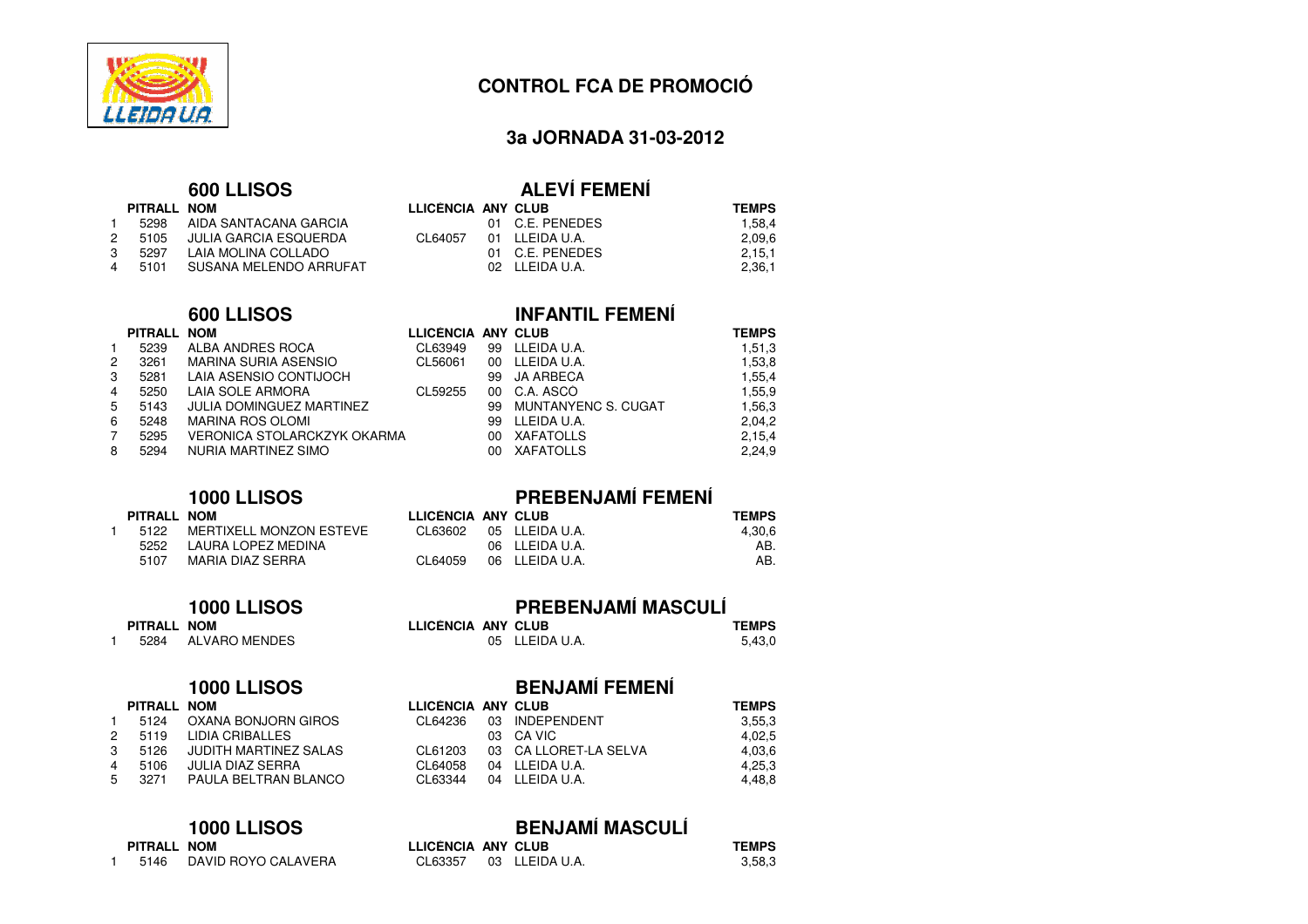

### **3a JORNADA 31-03-2012**

|              |             | 600 LLISOS             |                           | <b>ALEVÍ FEMENÍ</b> |              |
|--------------|-------------|------------------------|---------------------------|---------------------|--------------|
|              | PITRALL NOM |                        | <b>LLICENCIA ANY CLUB</b> |                     | <b>TEMPS</b> |
| $\mathbf{1}$ | 5298        | AIDA SANTACANA GARCIA  |                           | 01 C.E. PENEDES     | 1,58,4       |
| 2            | 5105        | JULIA GARCIA ESQUERDA  | CL64057                   | 01 LLEIDA U.A.      | 2,09,6       |
| 3            | 5297        | LAIA MOLINA COLLADO    |                           | 01 C.E. PENEDES     | 2,15,1       |
| 4            | 5101        | SUSANA MELENDO ARRUFAT |                           | 02 LLEIDA U.A.      | 2,36,1       |
|              |             |                        |                           |                     |              |

### **600 LLISOS**

# **INFANTIL FEMENÍ**

|   | PITRALL NOM |                                    | LLICENCIA ANY CLUB |    |                     | <b>TEMPS</b> |
|---|-------------|------------------------------------|--------------------|----|---------------------|--------------|
|   | 5239        | ALBA ANDRES ROCA                   | CL63949            |    | 99 LLEIDA U.A.      | 1,51,3       |
| 2 | 3261        | <b>MARINA SURIA ASENSIO</b>        | CL56061            | 00 | LLEIDA U.A.         | 1,53,8       |
| 3 | 5281        | LAIA ASENSIO CONTIJOCH             |                    |    | 99 JA ARBECA        | 1,55,4       |
| 4 | 5250        | LAIA SOLE ARMORA                   | CL59255            |    | 00 C.A. ASCO        | 1,55,9       |
| 5 | 5143        | JULIA DOMINGUEZ MARTINEZ           |                    | 99 | MUNTANYENC S. CUGAT | 1,56,3       |
| 6 | 5248        | MARINA ROS OLOMI                   |                    | 99 | LLEIDA U.A.         | 2,04,2       |
|   | 5295        | <b>VERONICA STOLARCKZYK OKARMA</b> |                    | 00 | XAFATOLLS           | 2,15,4       |
| 8 | 5294        | NURIA MARTINEZ SIMO                |                    | 00 | XAFATOLLS           | 2,24,9       |
|   |             |                                    |                    |    |                     |              |

### **1000 LLISOS**

|             | 1000 LLISOS             |                    | <b>PREBENJAMÍ FEMENÍ</b> |              |
|-------------|-------------------------|--------------------|--------------------------|--------------|
| PITRALL NOM |                         | LLICÈNCIA ANY CLUB |                          | <b>TEMPS</b> |
| 5122        | MERTIXELL MONZON ESTEVE |                    | CL63602 05 LLEIDA U.A.   | 4,30,6       |
| 5252        | LAURA LOPEZ MEDINA      |                    | 06 LLEIDA U.A.           | AB.          |
| 5107        | MARIA DIAZ SERRA        | CL64059            | 06 LLEIDA U.A.           | AB.          |
|             |                         |                    |                          |              |

### **1000 LLISOS**

# **PREBENJAMÍ MASCULÍ**

| М           | LLICÈNCIA ANY CLUB | <b>TEMPS</b> |
|-------------|--------------------|--------------|
| /ARO MENDES | 05 LLEIDA U.A.     | 5.43.0       |

# **1000 LLISOS**

**PITRALL NOM**

1 <sup>5284</sup> ALVARO MENDES

|    | 5124 | OXANA BONJORN GIROS          |
|----|------|------------------------------|
| 2  | 5119 | LIDIA CRIBALLES              |
| 3  | 5126 | <b>JUDITH MARTINEZ SALAS</b> |
| 4  | 5106 | JULIA DIAZ SERRA             |
| -5 | 3271 | PAULA BELTRAN BLANCO         |
|    |      |                              |

### **1000 LLISOS**

| PITRALL NOM |  |
|-------------|--|
|             |  |

| DAVID ROYO CALAVERA<br>5146 |
|-----------------------------|
|-----------------------------|

# **BENJAMÍ FEMENÍ**<br>LLICENCIA ANY CLUB

| м                   | LLICÈNCIA ANY CLUB |                        | <b>TEMPS</b> |
|---------------------|--------------------|------------------------|--------------|
| ANA BONJORN GIROS   |                    | CL64236 03 INDEPENDENT | 3,55,3       |
| IA CRIBALLES        |                    | 03 CA VIC              | 4,02,5       |
| DITH MARTINEZ SALAS | CL61203            | 03 CA LLORET-LA SELVA  | 4,03,6       |
| IA DIAZ SERRA       | CL64058            | 04 LLEIDA U.A.         | 4,25,3       |
| ULA BELTRAN BLANCO  | CL63344            | 04 LLEIDA U.A.         | 4,48,8       |
|                     |                    |                        |              |

| 00 LLISOS         |                    | <b>BENJAMÍ MASCULÍ</b> |              |
|-------------------|--------------------|------------------------|--------------|
| М                 | LLICÈNCIA ANY CLUB |                        | <b>TEMPS</b> |
| VID ROYO CALAVERA |                    | CL63357 03 LLEIDA U.A. | 3.58.3       |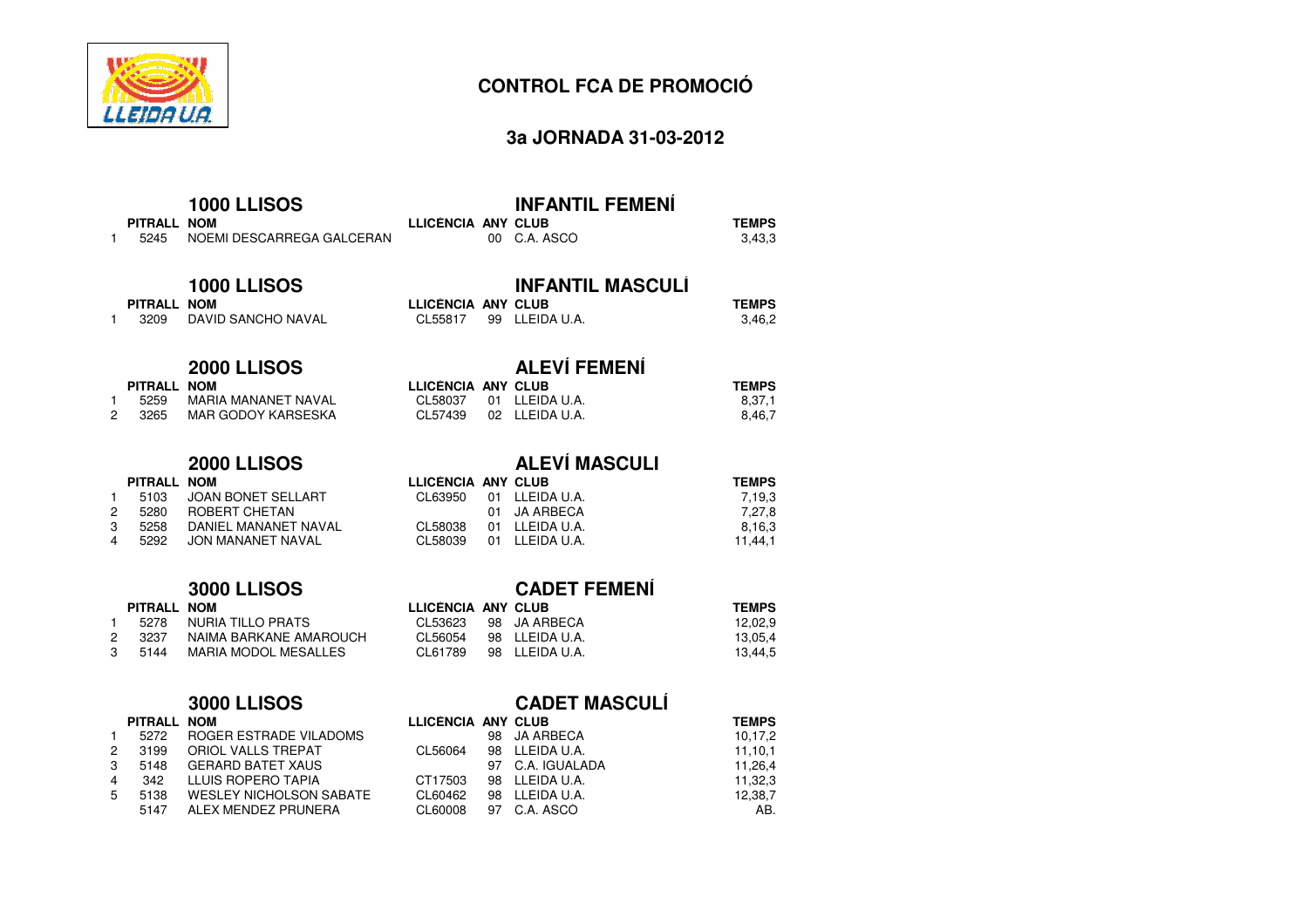

# **3a JORNADA 31-03-2012**

| 1                           | PITRALL NOM<br>5245                            | <b>1000 LLISOS</b><br>NOEMI DESCARREGA GALCERAN                                                                                    | LLICÈNCIA ANY CLUB                                  | $00 -$                | <b>INFANTIL FEMENÍ</b><br>C.A. ASCO                                                   | <b>TEMPS</b><br>3,43,3                                |
|-----------------------------|------------------------------------------------|------------------------------------------------------------------------------------------------------------------------------------|-----------------------------------------------------|-----------------------|---------------------------------------------------------------------------------------|-------------------------------------------------------|
| 1                           | PITRALL NOM<br>3209                            | <b>1000 LLISOS</b><br>DAVID SANCHO NAVAL                                                                                           | <b>LLICENCIA ANY CLUB</b><br>CL55817                | 99                    | <b>INFANTIL MASCULI</b><br>LLEIDA U.A.                                                | <b>TEMPS</b><br>3,46,2                                |
| 1<br>$\overline{c}$         | PITRALL NOM<br>5259<br>3265                    | <b>2000 LLISOS</b><br><b>MARIA MAÑANET NAVAL</b><br><b>MAR GODOY KARSESKA</b>                                                      | LLICENCIA ANY CLUB<br>CL58037<br>CL57439            | 01<br>02 <sub>2</sub> | <b>ALEVÍ FEMENÍ</b><br>LLEIDA U.A.<br>LLEIDA U.A.                                     | <b>TEMPS</b><br>8,37,1<br>8,46,7                      |
| $\mathbf{1}$<br>2<br>3<br>4 | <b>PITRALL</b><br>5103<br>5280<br>5258<br>5292 | <b>2000 LLISOS</b><br><b>NOM</b><br><b>JOAN BONET SELLART</b><br>ROBERT CHETAN<br>DANIEL MANANET NAVAL<br><b>JON MANANET NAVAL</b> | LLICENCIA ANY CLUB<br>CL63950<br>CL58038<br>CL58039 | 01<br>01<br>01<br>01  | <b>ALEVÍ MASCULI</b><br>LLEIDA U.A.<br><b>JA ARBECA</b><br>LLEIDA U.A.<br>LLEIDA U.A. | <b>TEMPS</b><br>7,19,3<br>7,27,8<br>8,16,3<br>11,44,1 |
| $\mathbf{1}$<br>2<br>3      | PITRALL NOM<br>5278<br>3237<br>5144            | <b>3000 LLISOS</b><br><b>NURIA TILLO PRATS</b><br>NAIMA BARKANE AMAROUCH<br><b>MARIA MODOL MESALLES</b>                            | LLICENCIA ANY CLUB<br>CL53623<br>CL56054<br>CL61789 | 98<br>98<br>98        | <b>CADET FEMENI</b><br><b>JA ARBECA</b><br>LLEIDA U.A.<br>LLEIDA U.A.                 | <b>TEMPS</b><br>12,02,9<br>13,05,4<br>13,44,5         |

| <b>3000 LLISOS</b> |  |
|--------------------|--|
|--------------------|--|

|   | PITRALL NOM |                                |
|---|-------------|--------------------------------|
| 1 | 5272        | ROGER ESTRADE VILADOMS         |
| 2 | 3199        | ORIOL VALLS TREPAT             |
| 3 | 5148        | <b>GERARD BATET XAUS</b>       |
| 4 | 342         | LLUIS ROPERO TAPIA             |
| 5 | 5138        | <b>WESLEY NICHOLSON SABATE</b> |
|   | 5147        | ALEX MENDEZ PRUNERA            |
|   |             |                                |

# **CADET MASCULÍ**

|          | LLICENCIA ANY CLUB |                      | <b>TEMPS</b> |
|----------|--------------------|----------------------|--------------|
| LADOMS   |                    | 98 JA ARBECA         | 10,17,2      |
| ۱T.      | CL56064            | 98 LLEIDA U.A.       | 11.10.1      |
| IS.      |                    | 97 C.A. IGUALADA     | 11.26.4      |
| A        | CT17503            | 98 LLEIDA U.A.       | 11,32,3      |
| N SABATE | CL60462            | 98 LLEIDA U.A.       | 12,38,7      |
| IERA     |                    | CL60008 97 C.A. ASCO | AB.          |
|          |                    |                      |              |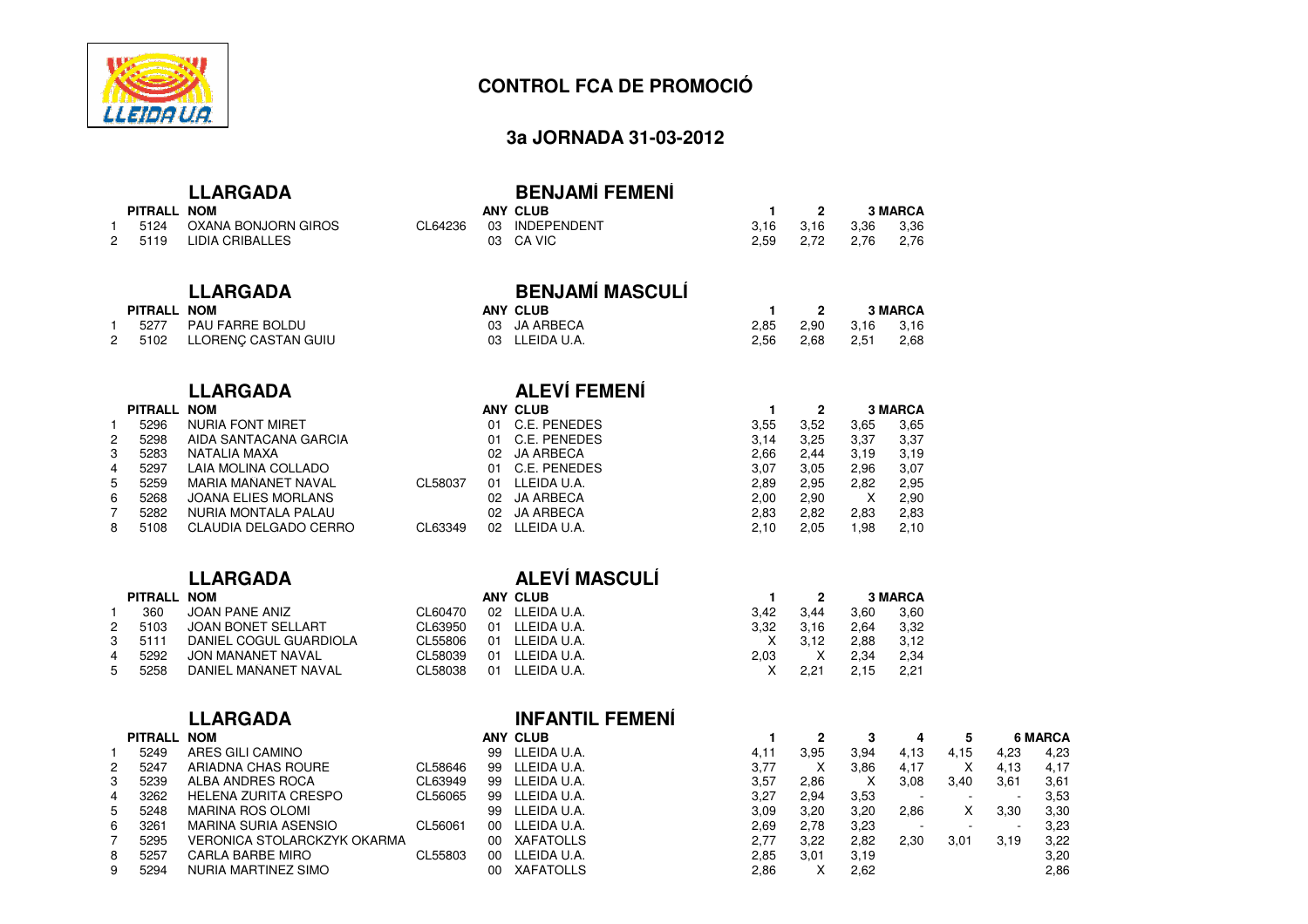

### **3a JORNADA 31-03-2012**

# **LLARGADA**

| PITRALL NOM |                 |
|-------------|-----------------|
| 5124        | OXANA BONJORN ( |

# 1 5124 OXANA BONJORN GIROS<br>2 5119 LIDIA CRIBALLES

## **LLARGADA**

### **PITRALL NOM**

1

2

1

2

3

4

5

6

7

8

9

|   | 5277 | <b>PAU FARRE BOLDU</b> |
|---|------|------------------------|
| 2 | 5102 | LLORENÇ CASTAN GUIU    |

### **LLARGADA**

|   | PITRALL NOM |                            |
|---|-------------|----------------------------|
|   | 5296        | NURIA FONT MIRET           |
| 2 | 5298        | AIDA SANTACANA GARCIA      |
| 3 | 5283        | NATALIA MAXA               |
| 4 | 5297        | LAIA MOLINA COLLADO        |
| 5 | 5259        | <b>MARIA MANANET NAVAL</b> |
| 6 | 5268        | <b>JOANA ELIES MORLANS</b> |
| 7 | 5282        | NURIA MONTALA PALAU        |
| 8 | 5108        | CLAUDIA DELGADO CERRO      |
|   |             |                            |

# **LLARGADA**

### **PITRALL NOM**360 JOAN PANE ANIZ<br>5103 JOAN BONET SEL

5103 JOAN BONET SELLART<br>5111 DANIEL COGUL GUARD 35111 DANIEL COGUL GUARDIOLA<br>5292 JON MAÑANET NAVAL 4529 JON MAÑANET NAVAL CL58039 01 LLEIDA U.A.<br>1920 DANIEL MAÑANET NAVAL CL58038 01 LLEIDA U.A. 5 5258 DANIEL MAÑANET NAVAL

### **LLARGADANOM**

|  |  |  | <b>LLARGADA</b> |
|--|--|--|-----------------|
|--|--|--|-----------------|

| <b>INFANTIL</b> |
|-----------------|
| ANV CLUB        |

|   | PITRALL NOM |                             |         |    | <b>ANY CLUB</b>  |      |      |      |      |      |      | <b>6 MARCA</b> |
|---|-------------|-----------------------------|---------|----|------------------|------|------|------|------|------|------|----------------|
|   | 5249        | ARES GILI CAMINO            |         | 99 | LLEIDA U.A.      | 4.1  | 3.95 | 3.94 | 4.13 | 4.15 | 4,23 | 4.23           |
|   | 5247        | ARIADNA CHAS ROURE          | CL58646 | 99 | LLEIDA U.A.      | 3.77 |      | 3.86 | 4,17 |      | 4,13 | 4.17           |
|   | 5239        | ALBA ANDRES ROCA            | CL63949 | 99 | LLEIDA U.A.      | 3,57 | 2.86 |      | 3.08 | 3,40 | 3,61 | 3,61           |
| 4 | 3262        | HELENA ZURITA CRESPO        | CL56065 | 99 | LLEIDA U.A.      | 3,27 | 2.94 | 3,53 |      |      |      | 3,53           |
|   | 5248        | MARINA ROS OLOMI            |         | 99 | LLEIDA U.A.      | 3.09 | 3.20 | 3.20 | 2.86 |      | 3,30 | 3,30           |
|   | 3261        | MARINA SURIA ASENSIO        | CL56061 | 00 | LLEIDA U.A.      | 2.69 | 2.78 | 3.23 |      |      |      | 3,23           |
|   | 5295        | VERONICA STOLARCKZYK OKARMA |         | 00 | <b>XAFATOLLS</b> | 2,77 | 3.22 | 2.82 | 2.30 | 3,01 | 3,19 | 3,22           |
|   | 5257        | <b>CARLA BARBE MIRO</b>     | CL55803 | 00 | LLEIDA U.A.      | 2.85 | 3.01 | 3,19 |      |      |      | 3,20           |
|   | 5294        | NURIA MARTINEZ SIMO         |         | 00 | <b>XAFATOLLS</b> | 2.86 |      | 2.62 |      |      |      | 2.86           |

| Α | <b>BENJAMÍ FEMENÍ</b> |
|---|-----------------------|
|   | ANY CLUB              |

| м                 |  | ANY CLUB               |           |                     | <b>3 MARCA</b> |
|-------------------|--|------------------------|-----------|---------------------|----------------|
| ANA BONJORN GIROS |  | CL64236 03 INDEPENDENT | 3.16 3.16 | 3.36                | 3,36           |
| IA CRIBALLES      |  | 03 CA VIC              |           | 2,59 2,72 2,76 2,76 |                |

# **BENJAMÍ MASCULÍ**<br>ANY CLUB

|                   | ANY CLUB       |      |      |           | <b>3 MARCA</b> |
|-------------------|----------------|------|------|-----------|----------------|
| U FARRE BOLDU     | 03 JA ARBECA   | 2.85 | 2.90 | 3,16 3,16 |                |
| )RENÇ CASTAN GUIU | 03 LLEIDA U.A. | 2.56 | 2.68 | 2.51      | 2,68           |

# **ALEVÍ FEMENÍ**

|   | PITRALL NOM |                         |               | ANY CLUB         |      |      |      | <b>3 MARCA</b> |
|---|-------------|-------------------------|---------------|------------------|------|------|------|----------------|
|   | 5296        | <b>NURIA FONT MIRET</b> | 01            | C.E. PENEDES     | 3.55 | 3,52 | 3,65 | 3,65           |
| 2 | 5298        | AIDA SANTACANA GARCIA   | 01            | C.E. PENEDES     | 3,14 | 3.25 | 3,37 | 3,37           |
| 3 | 5283        | NATALIA MAXA            | 02            | JA ARBECA        | 2.66 | 2.44 | 3,19 | 3,19           |
| 4 | 5297        | LAIA MOLINA COLLADO     | 01            | C.E. PENEDES     | 3.07 | 3.05 | 2.96 | 3,07           |
| 5 | 5259        | MARIA MAÑANET NAVAL     | CL58037<br>01 | LLEIDA U.A.      | 2.89 | 2.95 | 2.82 | 2.95           |
| 6 | 5268        | JOANA ELIES MORLANS     | 02.           | JA ARBECA        | 2.00 | 2.90 | х    | 2,90           |
|   | 5282        | NURIA MONTALA PALAU     | 02            | <b>JA ARBECA</b> | 2.83 | 2.82 | 2.83 | 2,83           |
| 8 | 5108        | CLAUDIA DELGADO CERRO   | CL63349<br>02 | LLEIDA U.A.      | 2.10 | 2.05 | .98  | 2,10           |
|   |             |                         |               |                  |      |      |      |                |

# **ALEVÍ MASCULÍ**

| м                    |         | ANY CLUB       |      |      |      | 3 MARCA |
|----------------------|---------|----------------|------|------|------|---------|
| AN PANE ANIZ         | CL60470 | 02 LLEIDA U.A. | 3.42 | 3.44 | 3.60 | 3,60    |
| AN BONET SELLART     | CL63950 | 01 LLEIDA U.A. | 3.32 | 3.16 | 2.64 | 3,32    |
| NIEL COGUL GUARDIOLA | CL55806 | 01 LLEIDA U.A. |      | 3.12 | 2.88 | 3.12    |
| N MAÑANET NAVAL      | CL58039 | 01 LLEIDA U.A. | 2.03 |      | 2.34 | 2.34    |
| NIEL MAÑANET NAVAL   | CL58038 | 01 LLEIDA U.A. |      | 2.21 | 2.15 | 2,21    |
|                      |         |                |      |      |      |         |

# **L FEMENÍ**

|             |         |    | ANI ULUD         |      | ▴    | o    |      | ◡    |      | u wanca |
|-------------|---------|----|------------------|------|------|------|------|------|------|---------|
|             |         | 99 | LLEIDA U.A.      | 4,11 | 3.95 | 3.94 | 4.13 | 4,15 | 4,23 | 4,23    |
| łΕ          | CL58646 | 99 | LLEIDA U.A.      | 3,77 | х    | 3,86 | 4,17 | X    | 4,13 | 4,17    |
|             | CL63949 | 99 | LLEIDA U.A.      | 3,57 | 2,86 |      | 3,08 | 3.40 | 3,61 | 3,61    |
| SPO         | CL56065 | 99 | LLEIDA U.A.      | 3,27 | 2.94 | 3.53 |      |      |      | 3,53    |
|             |         | 99 | LLEIDA U.A.      | 3.09 | 3.20 | 3.20 | 2.86 |      | 3,30 | 3,30    |
| SЮ          | CL56061 | 00 | LLEIDA U.A.      | 2,69 | 2,78 | 3,23 |      |      |      | 3,23    |
| (ZYK OKARMA |         | 00 | <b>XAFATOLLS</b> | 2,77 | 3,22 | 2,82 | 2,30 | 3,01 | 3,19 | 3,22    |
|             | CL55803 | 00 | LLEIDA U.A.      | 2,85 | 3,01 | 3,19 |      |      |      | 3,20    |
| O           |         | 00 | <b>XAFATOLLS</b> | 2.86 | х    | 2.62 |      |      |      | 2,86    |
|             |         |    |                  |      |      |      |      |      |      |         |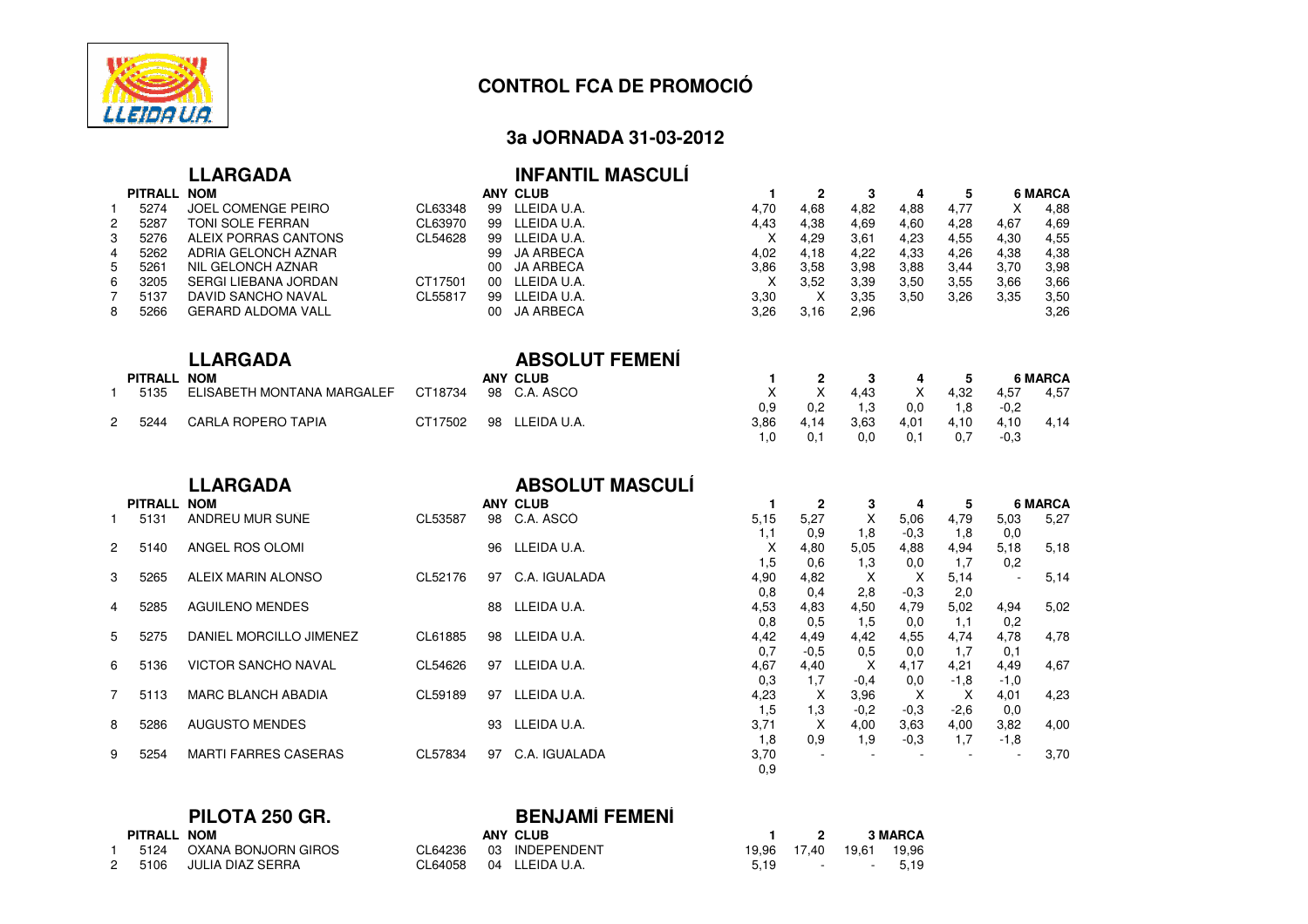

# **3a JORNADA 31-03-2012**

|                                                              |                                                                             | <b>LLARGADA</b>                                                                                                                                                                              |                                                     |                                                     | <b>INFANTIL MASCULI</b>                                                                                                                                   |                                                                               |                                                                           |                                                                   |                                                           |                                                           |                                                   |                                                                                |
|--------------------------------------------------------------|-----------------------------------------------------------------------------|----------------------------------------------------------------------------------------------------------------------------------------------------------------------------------------------|-----------------------------------------------------|-----------------------------------------------------|-----------------------------------------------------------------------------------------------------------------------------------------------------------|-------------------------------------------------------------------------------|---------------------------------------------------------------------------|-------------------------------------------------------------------|-----------------------------------------------------------|-----------------------------------------------------------|---------------------------------------------------|--------------------------------------------------------------------------------|
| $\mathbf{1}$<br>$\overline{c}$<br>3<br>4<br>5<br>6<br>7<br>8 | PITRALL NOM<br>5274<br>5287<br>5276<br>5262<br>5261<br>3205<br>5137<br>5266 | JOEL COMENGE PEIRO<br>TONI SOLE FERRAN<br>ALEIX PORRAS CANTONS<br>ADRIA GELONCH AZNAR<br>NIL GELONCH AZNAR<br><b>SERGI LIEBANA JORDAN</b><br>DAVID SANCHO NAVAL<br><b>GERARD ALDOMA VALL</b> | CL63348<br>CL63970<br>CL54628<br>CT17501<br>CL55817 | 99<br>99<br>99<br>00<br>00 <sup>°</sup><br>99<br>00 | <b>ANY CLUB</b><br>99 LLEIDA U.A.<br>LLEIDA U.A.<br>LLEIDA U.A.<br><b>JA ARBECA</b><br><b>JA ARBECA</b><br>LLEIDA U.A.<br>LLEIDA U.A.<br><b>JA ARBECA</b> | $\mathbf{1}$<br>4,70<br>4,43<br>X<br>4,02<br>3,86<br>$\times$<br>3,30<br>3,26 | $\mathbf{2}$<br>4,68<br>4,38<br>4,29<br>4,18<br>3,58<br>3,52<br>X<br>3,16 | 3<br>4,82<br>4,69<br>3,61<br>4,22<br>3,98<br>3,39<br>3,35<br>2,96 | 4<br>4,88<br>4,60<br>4,23<br>4,33<br>3,88<br>3,50<br>3,50 | 5<br>4,77<br>4,28<br>4,55<br>4,26<br>3,44<br>3,55<br>3,26 | X<br>4,67<br>4,30<br>4,38<br>3,70<br>3,66<br>3,35 | <b>6 MARCA</b><br>4,88<br>4,69<br>4,55<br>4,38<br>3,98<br>3,66<br>3,50<br>3,26 |
|                                                              |                                                                             | <b>LLARGADA</b>                                                                                                                                                                              |                                                     |                                                     | <b>ABSOLUT FEMENI</b>                                                                                                                                     |                                                                               |                                                                           |                                                                   |                                                           |                                                           |                                                   |                                                                                |
| $\mathbf{1}$                                                 | PITRALL NOM<br>5135                                                         | ELISABETH MONTAÑA MARGALEF                                                                                                                                                                   | CT18734                                             | 98                                                  | <b>ANY CLUB</b><br>C.A. ASCO                                                                                                                              | 1<br>$\mathsf{X}$                                                             | $\mathbf{2}$<br>X                                                         | 3<br>4,43                                                         | 4<br>X                                                    | 5<br>4,32                                                 | 4,57                                              | <b>6 MARCA</b><br>4,57                                                         |
| $\overline{2}$                                               | 5244                                                                        | <b>CARLA ROPERO TAPIA</b>                                                                                                                                                                    | CT17502                                             | 98                                                  | LLEIDA U.A.                                                                                                                                               | 0.9<br>3,86<br>1.0                                                            | 0,2<br>4.14<br>0.1                                                        | 1,3<br>3,63<br>0.0                                                | 0,0<br>4,01<br>0.1                                        | 1,8<br>4,10<br>0.7                                        | $-0,2$<br>4,10<br>$-0.3$                          | 4,14                                                                           |
|                                                              |                                                                             |                                                                                                                                                                                              |                                                     |                                                     |                                                                                                                                                           |                                                                               |                                                                           |                                                                   |                                                           |                                                           |                                                   |                                                                                |
|                                                              |                                                                             | <b>LLARGADA</b>                                                                                                                                                                              |                                                     |                                                     | <b>ABSOLUT MASCULI</b>                                                                                                                                    |                                                                               |                                                                           |                                                                   |                                                           |                                                           |                                                   |                                                                                |
| $\mathbf{1}$                                                 | <b>PITRALL</b><br>5131                                                      | <b>NOM</b><br>ANDREU MUR SUÑE                                                                                                                                                                | CL53587                                             |                                                     | <b>ANY CLUB</b><br>98 C.A. ASCO                                                                                                                           | $\mathbf{1}$<br>5.15                                                          | $\mathbf{2}$<br>5,27                                                      | 3<br>X                                                            | 4<br>5,06                                                 | 5<br>4,79                                                 | 5,03                                              | <b>6 MARCA</b><br>5,27                                                         |
| $\overline{2}$                                               | 5140                                                                        | ANGEL ROS OLOMI                                                                                                                                                                              |                                                     | 96                                                  | LLEIDA U.A.                                                                                                                                               | 1,1<br>X                                                                      | 0,9<br>4,80                                                               | 1,8<br>5,05                                                       | $-0.3$<br>4,88                                            | 1.8<br>4,94                                               | 0,0<br>5,18                                       | 5,18                                                                           |
| 3                                                            | 5265                                                                        | ALEIX MARIN ALONSO                                                                                                                                                                           | CL52176                                             | 97                                                  | C.A. IGUALADA                                                                                                                                             | 1,5<br>4,90                                                                   | 0,6<br>4,82                                                               | 1,3<br>$\times$                                                   | 0,0<br>$\times$                                           | 1,7<br>5,14                                               | 0,2<br>÷,                                         | 5,14                                                                           |
| 4                                                            | 5285                                                                        | <b>AGUILENO MENDES</b>                                                                                                                                                                       |                                                     | 88                                                  | LLEIDA U.A.                                                                                                                                               | 0,8<br>4,53                                                                   | 0,4<br>4,83                                                               | 2,8<br>4,50                                                       | $-0,3$<br>4,79                                            | 2,0<br>5,02                                               | 4,94                                              | 5,02                                                                           |
| 5                                                            | 5275                                                                        | DANIEL MORCILLO JIMENEZ                                                                                                                                                                      | CL61885                                             | 98                                                  | LLEIDA U.A.                                                                                                                                               | 0.8<br>4,42                                                                   | 0.5<br>4.49                                                               | 1,5<br>4,42                                                       | 0,0<br>4,55                                               | 1,1<br>4,74                                               | 0,2<br>4,78                                       | 4,78                                                                           |
| 6                                                            | 5136                                                                        | <b>VICTOR SANCHO NAVAL</b>                                                                                                                                                                   | CL54626                                             |                                                     | 97 LLEIDA U.A.                                                                                                                                            | 0.7<br>4,67                                                                   | $-0.5$<br>4,40                                                            | 0,5<br>X                                                          | 0,0<br>4,17                                               | 1,7<br>4,21                                               | 0,1<br>4,49                                       | 4,67                                                                           |
| $\overline{7}$                                               | 5113                                                                        | <b>MARC BLANCH ABADIA</b>                                                                                                                                                                    | CL59189                                             |                                                     | 97 LLEIDA U.A.                                                                                                                                            | 0,3<br>4,23                                                                   | 1,7<br>X                                                                  | $-0,4$<br>3,96                                                    | 0,0<br>$\boldsymbol{\mathsf{X}}$                          | $-1,8$<br>X                                               | $-1,0$<br>4,01                                    | 4,23                                                                           |
| 8                                                            | 5286                                                                        | <b>AUGUSTO MENDES</b>                                                                                                                                                                        |                                                     | 93                                                  | LLEIDA U.A.                                                                                                                                               | 1,5<br>3,71<br>1,8                                                            | 1,3<br>X<br>0,9                                                           | $-0,2$<br>4,00<br>1,9                                             | $-0.3$<br>3,63<br>$-0,3$                                  | $-2,6$<br>4,00                                            | 0,0<br>3,82<br>$-1,8$                             | 4,00                                                                           |

|               | <b>BENJAMÍ FEMENÍ</b><br>PILOTA 250 GR. |                     |         |                 |  |                   |          |                |
|---------------|-----------------------------------------|---------------------|---------|-----------------|--|-------------------|----------|----------------|
|               | PITRALL NOM                             |                     |         | <b>ANY CLUB</b> |  | $1 \quad 2$       |          | <b>3 MARCA</b> |
|               | 5124                                    | OXANA BONJORN GIROS | CL64236 | 03 INDEPENDENT  |  | 19,96 17,40 19,61 |          | 19.96          |
| $\mathcal{P}$ | 5106                                    | JULIA DIAZ SERRA    | CL64058 | 04 LLEIDA U.A.  |  |                   | 5.19 - - | 5.19           |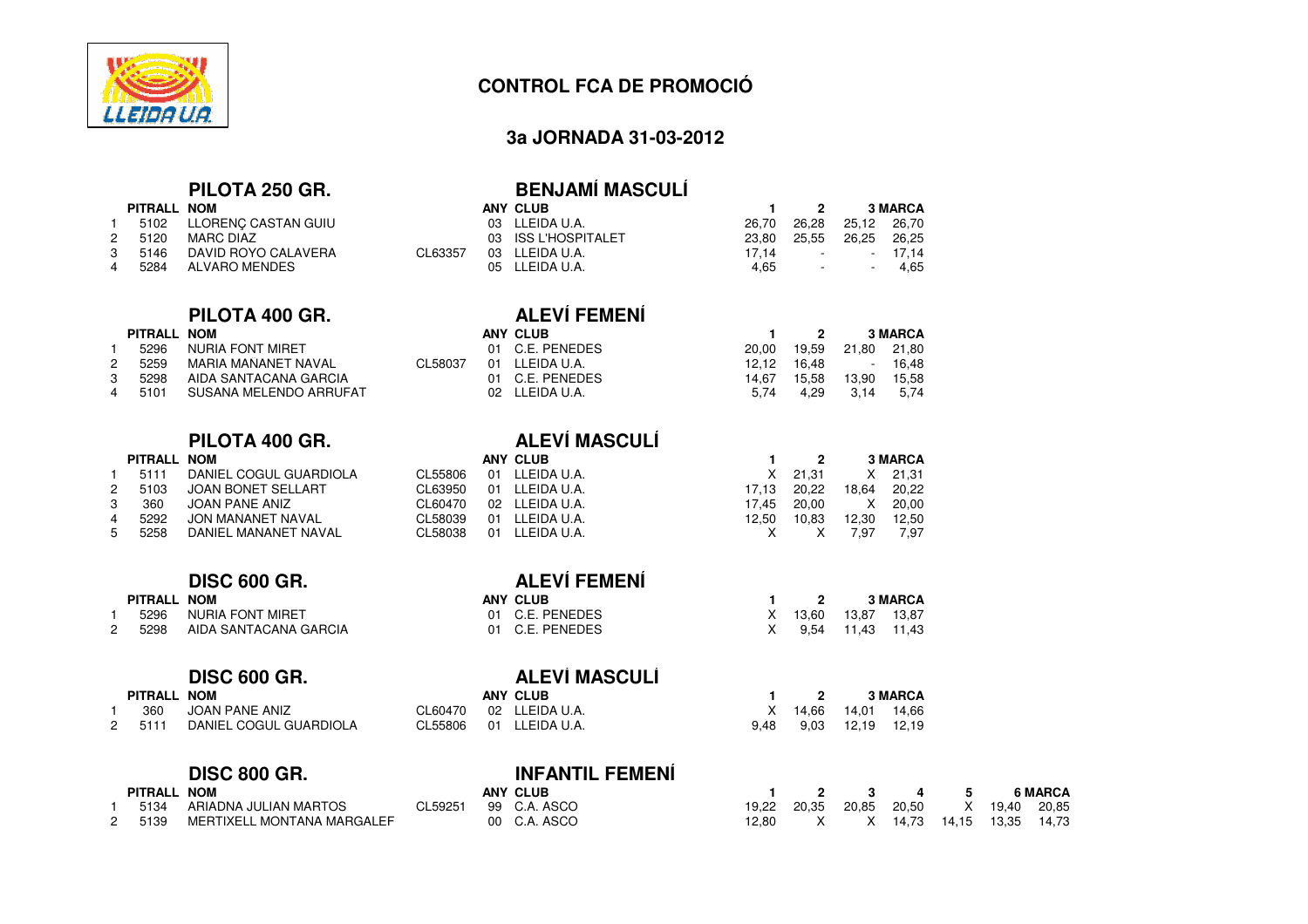

### **3a JORNADA 31-03-2012**

# **PILOTA 250 GR.**

|                  |                                                                                                     |                                                                                       | - 2 |      | <b>3 MARCA</b>                                                                      |
|------------------|-----------------------------------------------------------------------------------------------------|---------------------------------------------------------------------------------------|-----|------|-------------------------------------------------------------------------------------|
|                  |                                                                                                     |                                                                                       |     |      |                                                                                     |
|                  |                                                                                                     |                                                                                       |     |      |                                                                                     |
|                  | CL63357                                                                                             |                                                                                       |     |      |                                                                                     |
|                  |                                                                                                     |                                                                                       |     |      |                                                                                     |
| 2 5120<br>4 5284 | PITRALL NOM<br>5102 LLORENC CASTAN GUIU<br>MARC DIAZ<br>3 5146 DAVID ROYO CALAVERA<br>ALVARO MENDES | ANY CLUB<br>03 LLEIDA U.A.<br>03 ISS L'HOSPITALET<br>03 LLEIDA U.A.<br>05 LLEIDA U.A. |     | 4.65 | 26,70 26,28 25,12 26,70<br>23,80 25,55 26,25 26,25<br>$17.14$ - $17.14$<br>- - 4.65 |

# PILOTA 400 GR. ALEVÍ FEMENÍ

### **PITRALL NOM**

| 1 | 5296 | NURIA FONT MIRET       |
|---|------|------------------------|
| 2 | 5259 | MARIA MAÑANET NAVAL    |
| 3 | 5298 | AIDA SANTACANA GARCIA  |
| 4 | 5101 | SUSANA MELENDO ARRUFAT |
|   |      |                        |

|               | PITRALL NOM |                        |       |
|---------------|-------------|------------------------|-------|
| -1            | 5111        | DANIEL COGUL GUARDIOLA | CL558 |
| $\mathcal{P}$ | 5103        | JOAN BONET SELLART     | CL639 |
| 3             | 360         | JOAN PANE ANIZ         | CL604 |
| 4             | 5292        | JON MAÑANET NAVAL      | CL580 |
| 5             | 5258        | DANIEL MAÑANET NAVAL   | CL580 |

# **DISC 600 GR.**

| PITRALL NOM |                              | <b>ANY CLUB</b> |
|-------------|------------------------------|-----------------|
|             | 1 5296 NURIA FONT MIRET      | 01 C.E. PENEDES |
|             | 2 5298 AIDA SANTACANA GARCIA | 01 C.E. PENEDES |

# **DISC 600 GR.**

1

| PITRALL NOM |                        |         | <b>ANY CLUB</b> |      |                     |                  | <b>3 MARCA</b> |
|-------------|------------------------|---------|-----------------|------|---------------------|------------------|----------------|
| 360         | JOAN PANE ANIZ         | CL60470 | 02 LLEIDA U.A.  |      | X 14,66 14,01 14,66 |                  |                |
| 2 5111      | DANIEL COGUL GUARDIOLA | CL55806 | 01 LLEIDA U.A.  | 9.48 |                     | 9,03 12,19 12,19 |                |

# **DISC 800 GR.**

|         | ---------                  |         |                 |       |       |             |         |                |
|---------|----------------------------|---------|-----------------|-------|-------|-------------|---------|----------------|
| PITRALL | <b>NOM</b>                 |         | <b>ANY CLUB</b> |       |       | 4           |         | <b>6 MARCA</b> |
| 5134    | ARIADNA JULIAN MARTOS      | CL59251 | 99 C.A. ASCO    | 19.22 | 20.35 | 20.85 20.50 | X 19.40 | 20,85          |
| 5139    | MERTIXELL MONTAÑA MARGALEF |         | 00 C.A. ASCO    | 12.80 |       | 14.73       |         |                |
|         |                            |         |                 |       |       |             |         |                |

| .  |                                       |  |  |  |
|----|---------------------------------------|--|--|--|
|    | 1 2 3 4 5 6 MARCA                     |  |  |  |
|    | 19,22 20,35 20,85 20,50 X 19,40 20,85 |  |  |  |
| Ο. | 12,80 X X 14,73 14,15 13,35 14,73     |  |  |  |
|    |                                       |  |  |  |

# <sup>03</sup> ISS L'HOSPITALET 23,80 25,55 26,25 26,25 CL63357 03 LLEIDA U.A.<br>17,14 05 LLEIDA U.A.

**BENJAMÍ MASCULÍ**

|   |             | FILVIA 400 GN.         |         | ALL VII LIVILIYI |       |       |             |                |
|---|-------------|------------------------|---------|------------------|-------|-------|-------------|----------------|
|   | PITRALL NOM |                        |         | ANY CLUB         |       | -2    |             | <b>3 MARCA</b> |
|   | 5296        | NURIA FONT MIRET       |         | 01 C.E. PENEDES  | 20.00 | 19.59 | 21,80 21,80 |                |
| 2 | 5259        | MARIA MAÑANET NAVAL    | CL58037 | 01 LLEIDA U.A.   | 12.12 | 16.48 | $\sim$      | 16.48          |
| 3 | 5298        | AIDA SANTACANA GARCIA  |         | 01 C.E. PENEDES  | 14.67 | 15.58 | 13.90       | 15,58          |
| 4 | 5101        | SUSANA MELENDO ARRUFAT |         | 02 LLEIDA U.A.   | 5.74  | 4.29  | -3.14       | 5,74           |
|   |             |                        |         |                  |       |       |             |                |

# **PILOTA 400 GR. ALEVÍ MASCULÍ**

**ALEVÍ MASCULÍ**

**INFANTIL FEMENÍ**

|              | PITRALL NOM |                        | ANY CLUB |    |                |       |       | <b>3 MARCA</b> |       |
|--------------|-------------|------------------------|----------|----|----------------|-------|-------|----------------|-------|
|              | 5111        | DANIEL COGUL GUARDIOLA | CL55806  |    | 01 LLEIDA U.A. | X.    | 21.31 | X.             | 21,31 |
|              | 5103<br>2   | JOAN BONET SELLART     | CL63950  | 01 | LLEIDA U.A.    | 17.13 | 20.22 | 18.64          | 20,22 |
|              | 360         | JOAN PANE ANIZ         | CL60470  |    | 02 LLEIDA U.A. | 17.45 | 20.00 | X.             | 20.00 |
| $\mathbf{A}$ | 5292        | JON MAÑANET NAVAL      | CL58039  | 01 | LLEIDA U.A.    | 12.50 | 10.83 | 12.30          | 12,50 |
|              | 5<br>5258   | DANIEL MAÑANET NAVAL   | CL58038  |    | 01 LLEIDA U.A. |       |       | 7.97           | 7,97  |
|              |             |                        |          |    |                |       |       |                |       |

| <b>ALEVI FEMENI</b> |                                                |  |                                      |                                   |  |  |  |  |
|---------------------|------------------------------------------------|--|--------------------------------------|-----------------------------------|--|--|--|--|
|                     |                                                |  |                                      | 3 MARCA                           |  |  |  |  |
|                     |                                                |  |                                      |                                   |  |  |  |  |
|                     |                                                |  |                                      |                                   |  |  |  |  |
|                     | ANY CLUB<br>01 C.E. PENEDES<br>01 C.E. PENEDES |  | $\mathbf{1}$ $\mathbf{2}$<br>X 13.60 | 13,87 13,87<br>X 9.54 11.43 11.43 |  |  |  |  |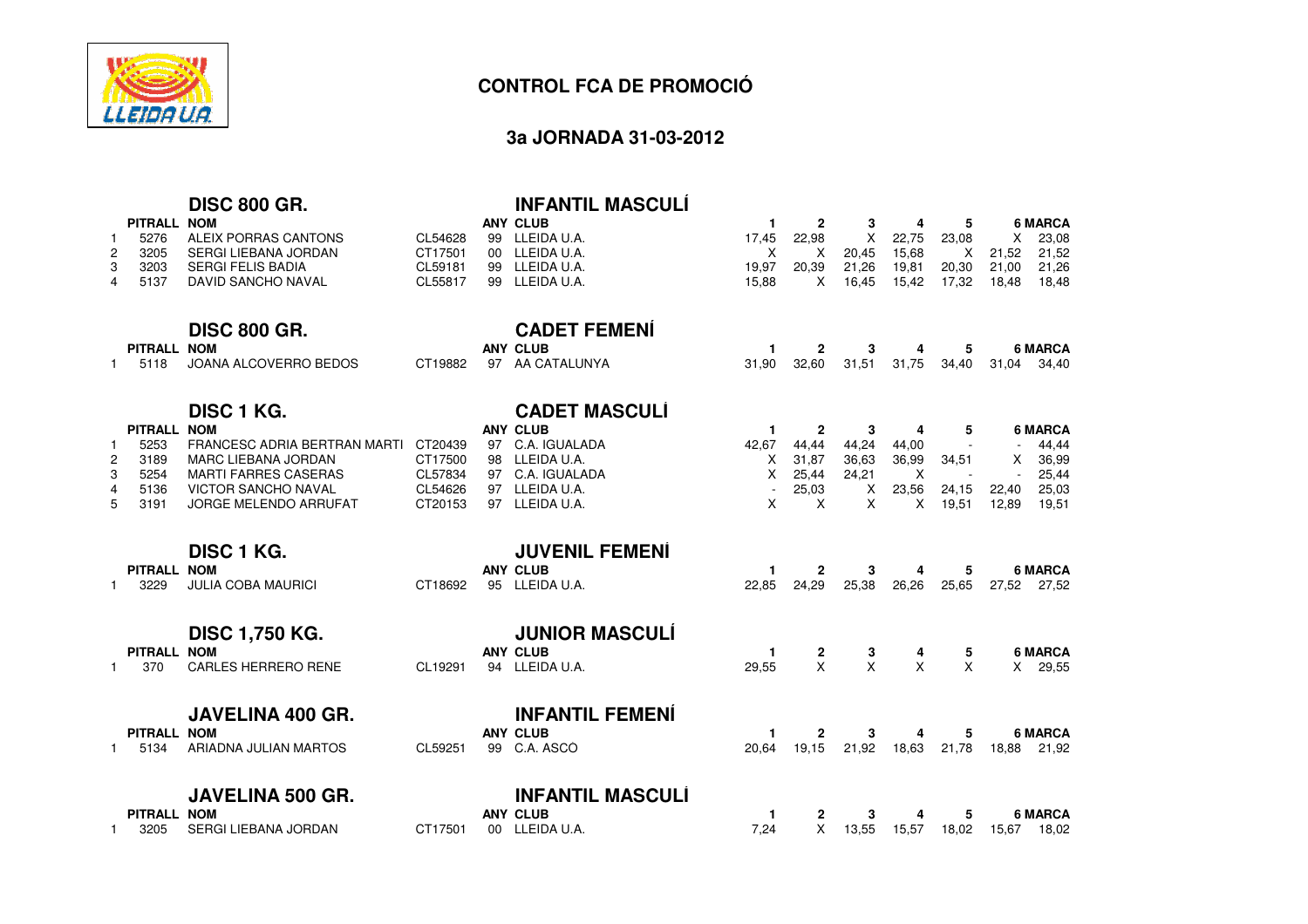

### **3a JORNADA 31-03-2012**

# **DISC 800 GR.**

| PITRALL NOM |                      |          | ANY CLUB       |       |       |       | 4     |       |                   | <b>6 MARCA</b> |
|-------------|----------------------|----------|----------------|-------|-------|-------|-------|-------|-------------------|----------------|
| 5276        | ALEIX PORRAS CANTONS | CL54628  | 99 LLEIDA U.A. | 17.45 | 22.98 | X.    | 22.75 | 23.08 | X.                | 23.08          |
| 2 3205      | SERGI LIEBANA JORDAN | CT17501  | 00 LLEIDA U.A. |       |       | 20.45 | 15.68 |       | X 21.52 21.52     |                |
| 3 3203      | SERGI FELIS BADIA    | CI 59181 | 99 LLEIDA U.A. | 19.97 | 20.39 | 21.26 | 19.81 |       | 20,30 21,00 21,26 |                |
| 4 5137      | DAVID SANCHO NAVAL   | CL55817  | 99 LLEIDA U.A. | 15.88 |       | 16.45 | 15.42 | 17.32 | 18.48             | 18.48          |
|             |                      |          |                |       |       |       |       |       |                   |                |

**CADET FEMENÍ**

**INFANTIL MASCULÍ**

### **DISC 800 GR.**

**PITRALL NOM**

| PITRALL NOM |                       |  | <b>ANY CLUB</b>         |                                           |  |  | 6 MARCA |
|-------------|-----------------------|--|-------------------------|-------------------------------------------|--|--|---------|
| 5118        | JOANA ALCOVERRO BEDOS |  | CT19882 97 AA CATALUNYA | 31,90 32,60 31,51 31,75 34,40 31,04 34,40 |  |  |         |

### **DISC 1 KG.**

### **CADET MASCULÍ PITRALL NOM ANY CLUB <sup>1</sup> <sup>2</sup> <sup>3</sup> <sup>4</sup> <sup>5</sup> <sup>6</sup> MARCA** <sup>5253</sup> FRANCESC ADRIA BERTRAN MARTI CT20439 <sup>97</sup> C.A. IGUALADA142,67 44,44 44,24 44,00 - - 44,44<br>X 31,87 36,63 36,99 34,51 X 36,99 23189 MARC LIEBANA JORDAN<br>5254 MARTI FARRES CASERAS CT17500 <sup>98</sup> LLEIDA U.A. <sup>X</sup> 31,87 36,63 36,99 34,51 <sup>X</sup> 36,99 35254 MARTI FARRES CASERAS<br>5136 VICTOR SANCHO NAVAL CL57834 <sup>97</sup> C.A. IGUALADA <sup>X</sup> 25,44 24,21 X - - 25,44 4 <sup>5136</sup> VICTOR SANCHO NAVAL CL54626 <sup>97</sup> LLEIDA U.A. - 25,03 <sup>X</sup> 23,56 24,15 22,40 25,03 5JORGE MELENDO ARRUFAT CT20153 <sup>97</sup> LLEIDA U.A. <sup>X</sup>X 19,51

| <b>PITRALL</b> | <b>DISC 1 KG.</b><br><b>NOM</b> |         |    | <b>JUVENIL FEMENI</b><br><b>ANY CLUB</b>                                                       |       | $\mathbf{2}$ | 3        | 4            | 5     | <b>6 MARCA</b>                                                                      |
|----------------|---------------------------------|---------|----|------------------------------------------------------------------------------------------------|-------|--------------|----------|--------------|-------|-------------------------------------------------------------------------------------|
| 3229           | <b>JULIA COBA MAURICI</b>       | CT18692 | 95 | LLEIDA U.A.                                                                                    | 22,85 | 24,29        | 25,38    | 26,26        | 25,65 | 27,52<br>27,52                                                                      |
|                | <b>DISC 1,750 KG.</b>           |         |    | <b>JUNIOR MASCULÍ</b>                                                                          |       |              |          |              |       |                                                                                     |
| <b>PITRALL</b> | <b>NOM</b>                      |         |    | ANY CLUB                                                                                       |       | $\mathbf{2}$ | 3        | 4            | 5     | <b>6 MARCA</b>                                                                      |
| 370            | CARLES HERRERO RENE             | CL19291 | 94 | LLEIDA U.A.                                                                                    | 29,55 | X            | $\times$ | $\mathsf{X}$ | X     | 29,55<br>$\times$                                                                   |
|                | <b>JAVELINA 400 GR.</b>         |         |    | <b>INFANTIL FEMENÍ</b>                                                                         |       |              |          |              |       |                                                                                     |
| <b>PITRALL</b> | <b>NOM</b>                      |         |    | ANY CLUB                                                                                       |       | $\mathbf{2}$ | 3        | 4            | 5     | <b>6 MARCA</b>                                                                      |
| 5134           | ARIADNA JULIAN MARTOS           | CL59251 | 99 | C.A. ASCO                                                                                      | 20.64 | 19.15        | 21,92    | 18,63        | 21,78 | 21,92<br>18,88                                                                      |
|                | <b>JAVELINA 500 GR.</b>         |         |    | <b>INFANTIL MASCULÍ</b>                                                                        |       |              |          |              |       |                                                                                     |
| <b>PITRALL</b> | <b>NOM</b>                      |         |    | <b>ANY CLUB</b>                                                                                |       | 2            | 3        | 4            | 5     | <b>6 MARCA</b>                                                                      |
| חממ            | CEDOLLIEDANA IODDANI            | CT4704  |    | $00 \quad \text{I} \quad \text{F} \quad \text{I} \quad \text{I} \quad \text{I} \quad \text{I}$ | 701   | ◡            | 10 EE .  | 1 E E 7      | 10.02 | 10.00<br>$\overline{1}$ $\overline{C}$ $\overline{C}$ $\overline{C}$ $\overline{C}$ |

1 <sup>3205</sup> SERGI LIEBANA JORDANCT17501 <sup>00</sup> LLEIDA U.A. 7,24 <sup>X</sup> 13,55 15,57 18,02 15,67 18,02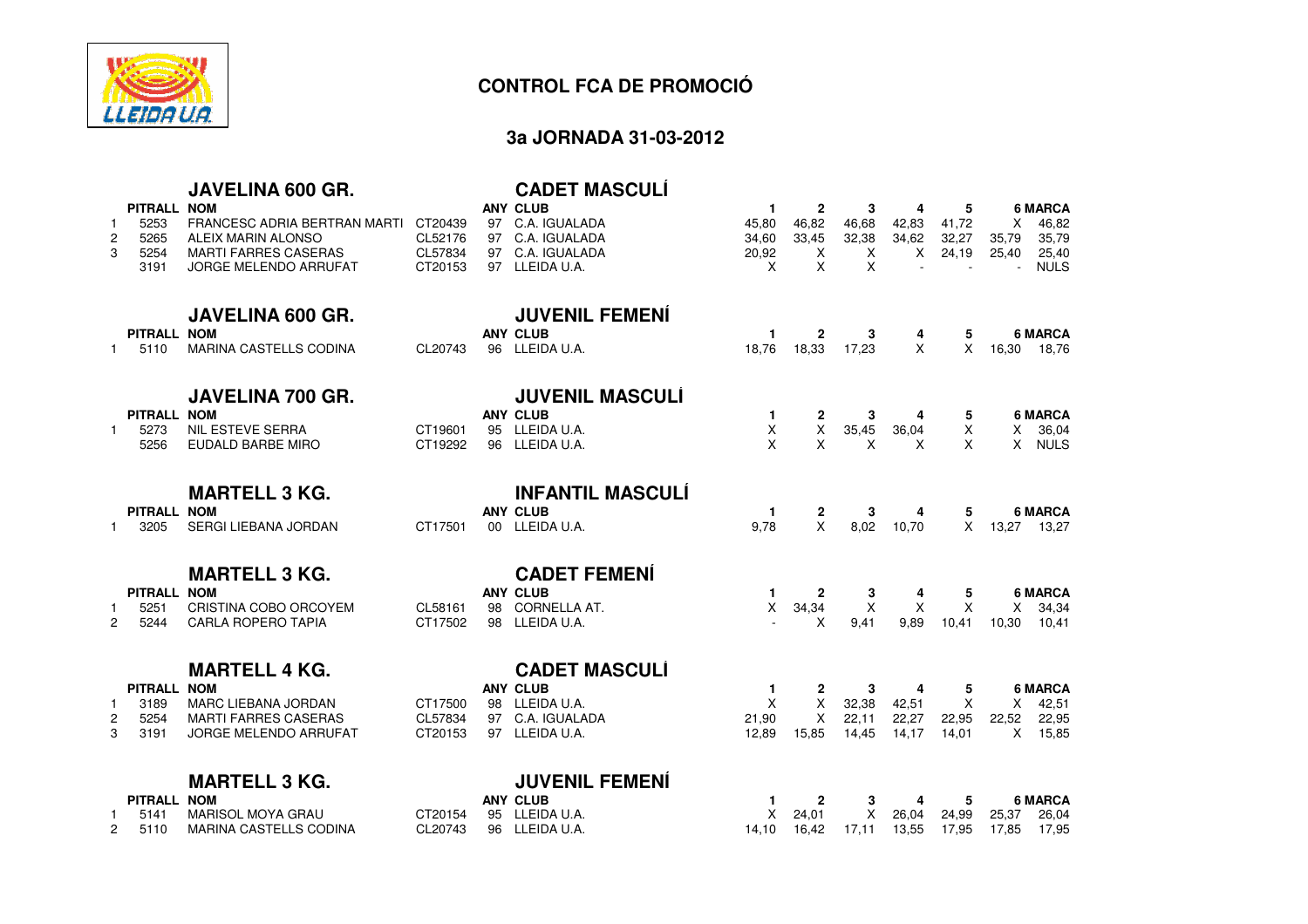

# **3a JORNADA 31-03-2012**

|                |                     | JAVELINA 600 GR.                                  |                    |    | <b>CADET MASCULI</b>                                    |                   |                       |            |            |                |                                        |
|----------------|---------------------|---------------------------------------------------|--------------------|----|---------------------------------------------------------|-------------------|-----------------------|------------|------------|----------------|----------------------------------------|
| -1             | PITRALL NOM<br>5253 | FRANCESC ADRIA BERTRAN MARTI                      | CT20439<br>CL52176 |    | <b>ANY CLUB</b><br>97 C.A. IGUALADA<br>97 C.A. IGUALADA | 1<br>45.80        | $\mathbf{2}$<br>46,82 | 3<br>46,68 | 4<br>42,83 | 5<br>41,72     | <b>6 MARCA</b><br>46,82<br>X           |
| 2<br>3         | 5265<br>5254        | ALEIX MARIN ALONSO<br><b>MARTI FARRES CASERAS</b> | CL57834            |    | 97 C.A. IGUALADA                                        | 34,60<br>20,92    | 33,45<br>X            | 32,38<br>X | 34,62<br>X | 32,27<br>24,19 | 35,79<br>35,79<br>25,40<br>25,40       |
|                | 3191                | JORGE MELENDO ARRUFAT                             | CT20153            |    | 97 LLEIDA U.A.                                          | X                 | X                     | X          |            |                | <b>NULS</b>                            |
|                |                     | <b>JAVELINA 600 GR.</b>                           |                    |    | <b>JUVENIL FEMENI</b>                                   |                   |                       |            |            |                |                                        |
|                | PITRALL NOM         |                                                   |                    |    | <b>ANY CLUB</b>                                         | 1                 | 2                     | 3          | 4          | 5              | <b>6 MARCA</b>                         |
| 1              | 5110                | MARINA CASTELLS CODINA                            | CL20743            |    | 96 LLEIDA U.A.                                          | 18,76             | 18,33                 | 17,23      | X          | X              | 16,30<br>18,76                         |
|                |                     | <b>JAVELINA 700 GR.</b>                           |                    |    | <b>JUVENIL MASCULI</b>                                  |                   |                       |            |            |                |                                        |
|                | PITRALL NOM         |                                                   |                    |    | <b>ANY CLUB</b>                                         | 1                 | 2                     | 3          | 4          | 5              | <b>6 MARCA</b>                         |
|                | 5273<br>5256        | <b>NIL ESTEVE SERRA</b><br>EUDALD BARBE MIRO      | CT19601<br>CT19292 |    | 95 LLEIDA U.A.<br>96 LLEIDA U.A.                        | X<br>X            | X<br>X                | 35,45<br>X | 36,04<br>X | X<br>X         | X 36,04<br>$\mathsf{X}$<br><b>NULS</b> |
|                |                     |                                                   |                    |    |                                                         |                   |                       |            |            |                |                                        |
|                |                     | <b>MARTELL 3 KG.</b>                              |                    |    | <b>INFANTIL MASCULI</b>                                 |                   |                       |            |            |                |                                        |
| 1.             | PITRALL NOM<br>3205 | SERGI LIEBANA JORDAN                              | CT17501            |    | <b>ANY CLUB</b><br>00 LLEIDA U.A.                       | -1<br>9.78        | 2<br>$\mathsf{x}$     | 3<br>8,02  | 4<br>10,70 | 5<br>$\times$  | <b>6 MARCA</b><br>13,27<br>13,27       |
|                |                     |                                                   |                    |    |                                                         |                   |                       |            |            |                |                                        |
|                |                     | <b>MARTELL 3 KG.</b>                              |                    |    | <b>CADET FEMENI</b>                                     |                   |                       |            |            |                |                                        |
|                | PITRALL NOM<br>5251 | CRISTINA COBO ORCOYEM                             | CL58161            | 98 | <b>ANY CLUB</b><br>CORNELLA AT.                         | 1.<br>X           | $\mathbf{2}$<br>34,34 | 3<br>X     | 4<br>Χ     | 5<br>X         | <b>6 MARCA</b><br>34,34<br>X.          |
| $\overline{2}$ | 5244                | <b>CARLA ROPERO TAPIA</b>                         | CT17502            |    | 98 LLEIDA U.A.                                          |                   | X                     | 9,41       | 9,89       | 10,41          | 10,30<br>10,41                         |
|                |                     |                                                   |                    |    |                                                         |                   |                       |            |            |                |                                        |
|                |                     | <b>MARTELL 4 KG.</b>                              |                    |    | <b>CADET MASCULÍ</b>                                    |                   |                       |            |            |                |                                        |
| 1              | PITRALL NOM<br>3189 | <b>MARC LIEBANA JORDAN</b>                        | CT17500            |    | <b>ANY CLUB</b><br>98 LLEIDA U.A.                       | $\mathbf{1}$<br>X | $\mathbf{2}$<br>X     | 3<br>32,38 | 4<br>42,51 | 5<br>X         | <b>6 MARCA</b><br>42,51<br>X.          |
| $\overline{c}$ | 5254                | <b>MARTI FARRES CASERAS</b>                       | CL57834            |    | 97 C.A. IGUALADA                                        | 21,90             | $\mathsf{X}$          | 22,11      | 22,27      | 22,95          | 22,52<br>22,95                         |
| 3              | 3191                | JORGE MELENDO ARRUFAT                             | CT20153            |    | 97 LLEIDA U.A.                                          | 12,89             | 15,85                 | 14.45      | 14,17      | 14,01          | $X$ 15,85                              |
|                |                     | <b>MARTELL 3 KG.</b>                              |                    |    | <b>JUVENIL FEMENÍ</b>                                   |                   |                       |            |            |                |                                        |
|                | PITRALL NOM         |                                                   |                    |    | <b>ANY CLUB</b>                                         | 1                 | $\mathbf{2}$          | 3          | 4          | 5              | <b>6 MARCA</b>                         |
|                | 5141                | <b>MARISOL MOYA GRAU</b>                          | CT20154            | 95 | LLEIDA U.A.                                             | X                 | 24,01                 | X          | 26,04      | 24,99          | 25,37<br>26,04                         |
| 2              | 5110                | MARINA CASTELLS CODINA                            | CL20743            | 96 | LLEIDA U.A.                                             | 14.10             | 16,42                 | 17,11      | 13,55      | 17,95          | 17,85<br>17,95                         |